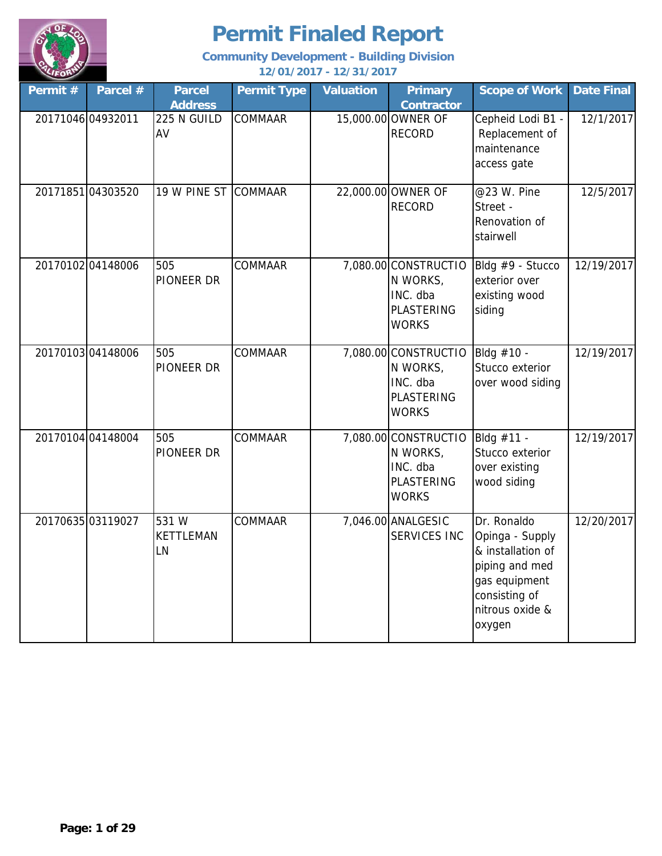

| Permit #          | Parcel #          | <b>Parcel</b><br><b>Address</b> | <b>Permit Type</b> | <b>Valuation</b> | <b>Primary</b><br><b>Contractor</b>                                               | <b>Scope of Work</b>                                                                                                                 | <b>Date Final</b> |
|-------------------|-------------------|---------------------------------|--------------------|------------------|-----------------------------------------------------------------------------------|--------------------------------------------------------------------------------------------------------------------------------------|-------------------|
| 20171046 04932011 |                   | 225 N GUILD<br>AV               | <b>COMMAAR</b>     |                  | 15,000.00 OWNER OF<br><b>RECORD</b>                                               | Cepheid Lodi B1 -<br>Replacement of<br>maintenance<br>access gate                                                                    | 12/1/2017         |
|                   | 2017185104303520  | 19 W PINE ST COMMAAR            |                    |                  | 22,000.00 OWNER OF<br><b>RECORD</b>                                               | @23 W. Pine<br>Street -<br>Renovation of<br>stairwell                                                                                | 12/5/2017         |
|                   | 2017010204148006  | 505<br><b>PIONEER DR</b>        | <b>COMMAAR</b>     |                  | 7,080.00 CONSTRUCTIO<br>N WORKS,<br>INC. dba<br><b>PLASTERING</b><br><b>WORKS</b> | Bldg #9 - Stucco<br>exterior over<br>existing wood<br>siding                                                                         | 12/19/2017        |
|                   | 2017010304148006  | 505<br>PIONEER DR               | COMMAAR            |                  | 7,080.00 CONSTRUCTIO<br>N WORKS,<br>INC. dba<br><b>PLASTERING</b><br><b>WORKS</b> | Bldg #10 -<br>Stucco exterior<br>over wood siding                                                                                    | 12/19/2017        |
|                   | 20170104 04148004 | 505<br>PIONEER DR               | <b>COMMAAR</b>     |                  | 7,080.00 CONSTRUCTIO<br>N WORKS,<br>INC. dba<br><b>PLASTERING</b><br><b>WORKS</b> | Bldg #11 -<br>Stucco exterior<br>over existing<br>wood siding                                                                        | 12/19/2017        |
|                   | 2017063503119027  | 531 W<br><b>KETTLEMAN</b><br>LN | <b>COMMAAR</b>     |                  | 7,046.00 ANALGESIC<br><b>SERVICES INC</b>                                         | Dr. Ronaldo<br>Opinga - Supply<br>& installation of<br>piping and med<br>gas equipment<br>consisting of<br>nitrous oxide &<br>oxygen | 12/20/2017        |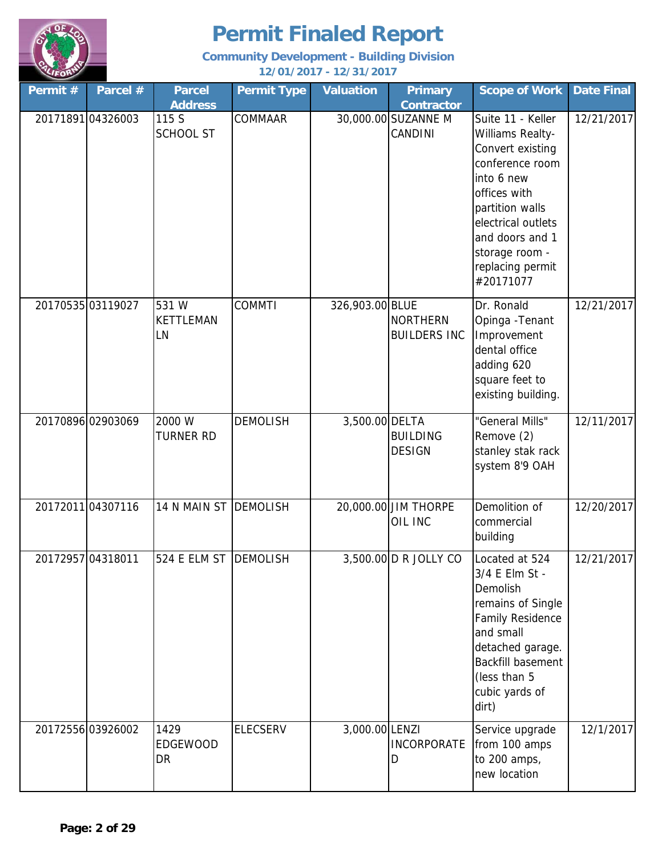

| Permit #          | Parcel #          | <b>Parcel</b><br><b>Address</b> | <b>Permit Type</b> | <b>Valuation</b> | <b>Primary</b><br><b>Contractor</b>    | <b>Scope of Work</b>                                                                                                                                                                                                      | <b>Date Final</b> |
|-------------------|-------------------|---------------------------------|--------------------|------------------|----------------------------------------|---------------------------------------------------------------------------------------------------------------------------------------------------------------------------------------------------------------------------|-------------------|
|                   | 20171891 04326003 | 115 S<br><b>SCHOOL ST</b>       | COMMAAR            |                  | 30,000.00 SUZANNE M<br>CANDINI         | Suite 11 - Keller<br>Williams Realty-<br>Convert existing<br>conference room<br>into 6 new<br>offices with<br>partition walls<br>electrical outlets<br>and doors and 1<br>storage room -<br>replacing permit<br>#20171077 | 12/21/2017        |
|                   | 2017053503119027  | 531W<br><b>KETTLEMAN</b><br>LN  | <b>COMMTI</b>      | 326,903.00 BLUE  | <b>NORTHERN</b><br><b>BUILDERS INC</b> | Dr. Ronald<br>Opinga - Tenant<br>Improvement<br>dental office<br>adding 620<br>square feet to<br>existing building.                                                                                                       | 12/21/2017        |
|                   | 20170896 02903069 | 2000 W<br><b>TURNER RD</b>      | <b>DEMOLISH</b>    | 3,500.00 DELTA   | <b>BUILDING</b><br><b>DESIGN</b>       | "General Mills"<br>Remove (2)<br>stanley stak rack<br>system 8'9 OAH                                                                                                                                                      | 12/11/2017        |
|                   | 2017201104307116  | 14 N MAIN ST                    | <b>DEMOLISH</b>    |                  | 20,000.00 JIM THORPE<br>OIL INC        | Demolition of<br>commercial<br>building                                                                                                                                                                                   | 12/20/2017        |
| 20172957 04318011 |                   | 524 E ELM ST                    | <b>DEMOLISH</b>    |                  | 3,500.00 D R JOLLY CO                  | Located at 524<br>3/4 E Elm St -<br>Demolish<br>remains of Single<br><b>Family Residence</b><br>and small<br>detached garage.<br><b>Backfill basement</b><br>(less than 5<br>cubic yards of<br>dirt)                      | 12/21/2017        |
|                   | 20172556 03926002 | 1429<br>EDGEWOOD<br>DR          | <b>ELECSERV</b>    | 3,000.00 LENZI   | <b>INCORPORATE</b><br>D                | Service upgrade<br>from 100 amps<br>to 200 amps,<br>new location                                                                                                                                                          | 12/1/2017         |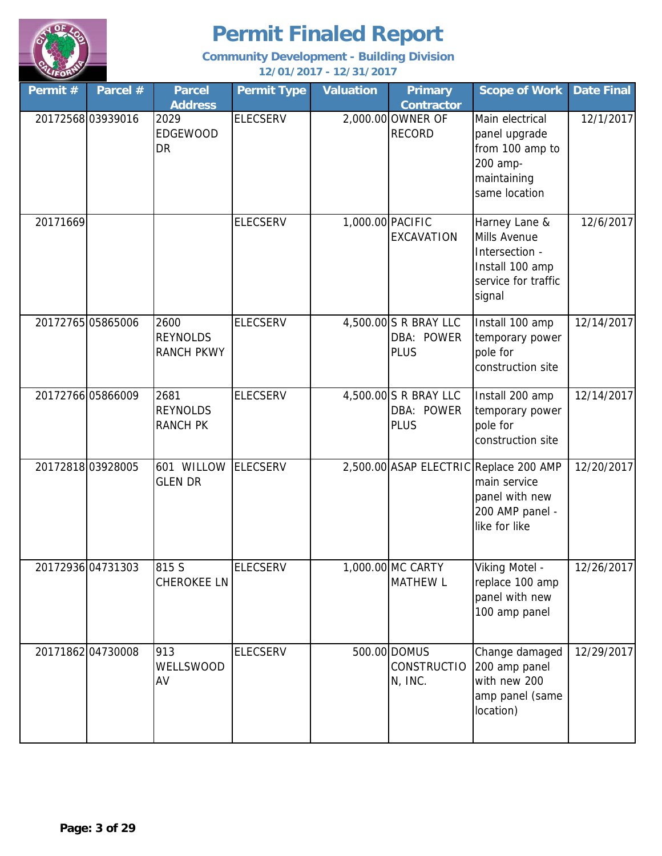

| Permit # | Parcel #          | <b>Parcel</b><br><b>Address</b>              | <b>Permit Type</b> | <b>Valuation</b> | <b>Primary</b><br><b>Contractor</b>                | <b>Scope of Work</b>                                                                                         | <b>Date Final</b> |
|----------|-------------------|----------------------------------------------|--------------------|------------------|----------------------------------------------------|--------------------------------------------------------------------------------------------------------------|-------------------|
|          | 2017256803939016  | 2029<br><b>EDGEWOOD</b><br><b>DR</b>         | <b>ELECSERV</b>    |                  | 2,000.00 OWNER OF<br><b>RECORD</b>                 | Main electrical<br>panel upgrade<br>from 100 amp to<br>200 amp-<br>maintaining<br>same location              | 12/1/2017         |
| 20171669 |                   |                                              | <b>ELECSERV</b>    | 1,000.00 PACIFIC | EXCAVATION                                         | Harney Lane &<br>Mills Avenue<br>Intersection -<br>Install 100 amp<br>service for traffic<br>signal          | 12/6/2017         |
|          | 20172765 05865006 | 2600<br><b>REYNOLDS</b><br><b>RANCH PKWY</b> | <b>ELECSERV</b>    |                  | 4,500.00 S R BRAY LLC<br>DBA: POWER<br><b>PLUS</b> | Install 100 amp<br>temporary power<br>pole for<br>construction site                                          | 12/14/2017        |
|          | 20172766 05866009 | 2681<br><b>REYNOLDS</b><br><b>RANCH PK</b>   | <b>ELECSERV</b>    |                  | 4,500.00 S R BRAY LLC<br>DBA: POWER<br><b>PLUS</b> | Install 200 amp<br>temporary power<br>pole for<br>construction site                                          | 12/14/2017        |
|          | 20172818 03928005 | 601 WILLOW<br><b>GLEN DR</b>                 | <b>ELECSERV</b>    |                  |                                                    | 2,500.00 ASAP ELECTRIC Replace 200 AMP<br>main service<br>panel with new<br>200 AMP panel -<br>like for like | 12/20/2017        |
|          | 20172936 04731303 | 815 S<br><b>CHEROKEE LN</b>                  | <b>ELECSERV</b>    |                  | 1,000.00 MC CARTY<br><b>MATHEW L</b>               | Viking Motel -<br>replace 100 amp<br>panel with new<br>100 amp panel                                         | 12/26/2017        |
|          | 20171862 04730008 | 913<br>WELLSWOOD<br>AV                       | <b>ELECSERV</b>    |                  | 500.00 DOMUS<br><b>CONSTRUCTIO</b><br>N, INC.      | Change damaged<br>200 amp panel<br>with new 200<br>amp panel (same<br>location)                              | 12/29/2017        |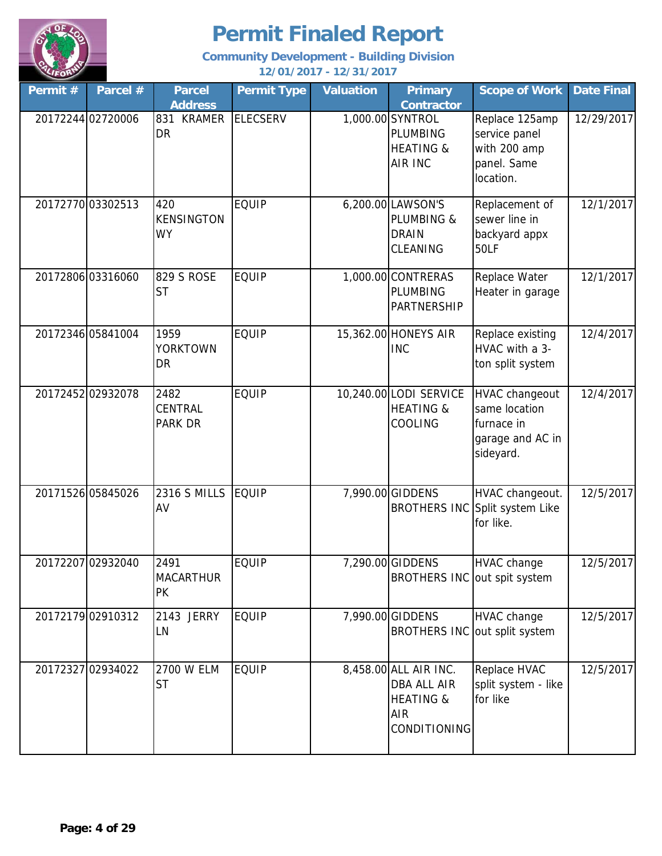

| Permit# | Parcel #          | <b>Parcel</b><br><b>Address</b>       | <b>Permit Type</b> | <b>Valuation</b> | <b>Primary</b><br>Contractor                                                                      | <b>Scope of Work</b>                                                           | <b>Date Final</b> |
|---------|-------------------|---------------------------------------|--------------------|------------------|---------------------------------------------------------------------------------------------------|--------------------------------------------------------------------------------|-------------------|
|         | 20172244 02720006 | 831<br><b>KRAMER</b><br><b>DR</b>     | <b>ELECSERV</b>    |                  | 1,000.00 SYNTROL<br><b>PLUMBING</b><br><b>HEATING &amp;</b><br>AIR INC                            | Replace 125amp<br>service panel<br>with 200 amp<br>panel. Same<br>location.    | 12/29/2017        |
|         | 20172770 03302513 | 420<br><b>KENSINGTON</b><br><b>WY</b> | <b>EQUIP</b>       |                  | 6,200.00 LAWSON'S<br>PLUMBING &<br><b>DRAIN</b><br>CLEANING                                       | Replacement of<br>sewer line in<br>backyard appx<br>50LF                       | 12/1/2017         |
|         | 20172806 03316060 | 829 S ROSE<br><b>ST</b>               | <b>EQUIP</b>       |                  | 1,000.00 CONTRERAS<br>PLUMBING<br><b>PARTNERSHIP</b>                                              | Replace Water<br>Heater in garage                                              | 12/1/2017         |
|         | 20172346 05841004 | 1959<br><b>YORKTOWN</b><br>DR         | <b>EQUIP</b>       |                  | 15,362.00 HONEYS AIR<br><b>INC</b>                                                                | Replace existing<br>HVAC with a 3-<br>ton split system                         | 12/4/2017         |
|         | 20172452 02932078 | 2482<br>CENTRAL<br><b>PARK DR</b>     | <b>EQUIP</b>       |                  | 10,240.00 LODI SERVICE<br><b>HEATING &amp;</b><br>COOLING                                         | HVAC changeout<br>same location<br>furnace in<br>garage and AC in<br>sideyard. | 12/4/2017         |
|         | 20171526 05845026 | <b>2316 S MILLS</b><br>AV             | <b>EQUIP</b>       |                  | 7,990.00 GIDDENS                                                                                  | HVAC changeout.<br>BROTHERS INC Split system Like<br>for like.                 | 12/5/2017         |
|         | 20172207 02932040 | 2491<br><b>MACARTHUR</b><br><b>PK</b> | <b>EQUIP</b>       |                  | 7,290.00 GIDDENS<br>BROTHERS INC out spit system                                                  | <b>HVAC</b> change                                                             | 12/5/2017         |
|         | 20172179 02910312 | 2143 JERRY<br>LN                      | <b>EQUIP</b>       |                  | 7,990.00 GIDDENS                                                                                  | <b>HVAC</b> change<br>BROTHERS INC out split system                            | 12/5/2017         |
|         | 20172327 02934022 | 2700 W ELM<br><b>ST</b>               | <b>EQUIP</b>       |                  | 8,458.00 ALL AIR INC.<br><b>DBA ALL AIR</b><br><b>HEATING &amp;</b><br>AIR<br><b>CONDITIONING</b> | Replace HVAC<br>split system - like<br>for like                                | 12/5/2017         |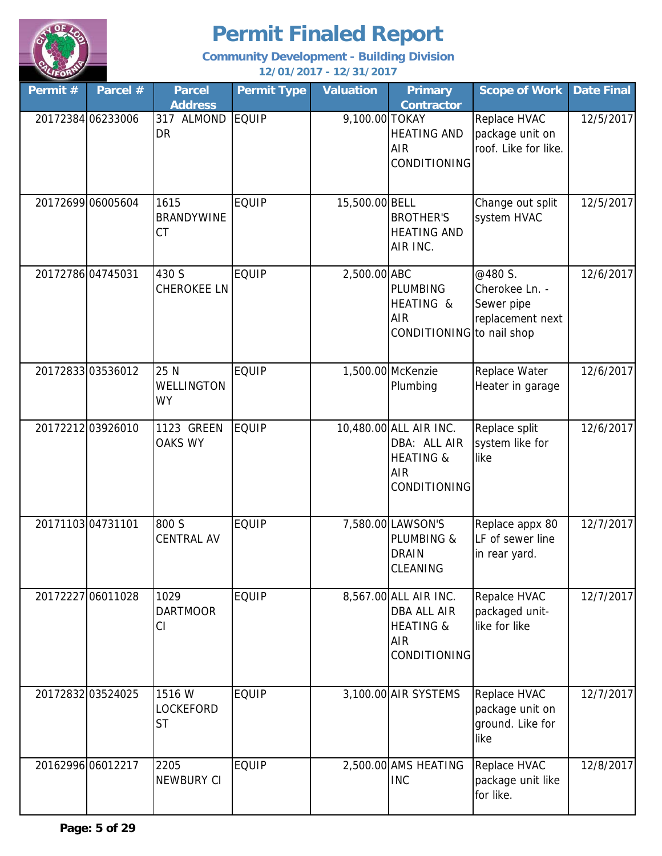

| Permit #          | Parcel #          | <b>Parcel</b><br><b>Address</b>  | <b>Permit Type</b> | <b>Valuation</b> | <b>Primary</b><br><b>Contractor</b>                                                          | <b>Scope of Work</b>                                        | <b>Date Final</b> |
|-------------------|-------------------|----------------------------------|--------------------|------------------|----------------------------------------------------------------------------------------------|-------------------------------------------------------------|-------------------|
|                   | 20172384 06233006 | 317 ALMOND<br><b>DR</b>          | <b>EQUIP</b>       | 9,100.00 TOKAY   | <b>HEATING AND</b><br><b>AIR</b><br><b>CONDITIONING</b>                                      | Replace HVAC<br>package unit on<br>roof. Like for like.     | 12/5/2017         |
|                   | 20172699 06005604 | 1615<br><b>BRANDYWINE</b><br>CT  | <b>EQUIP</b>       | 15,500.00 BELL   | <b>BROTHER'S</b><br><b>HEATING AND</b><br>AIR INC.                                           | Change out split<br>system HVAC                             | 12/5/2017         |
| 20172786 04745031 |                   | 430 S<br>CHEROKEE LN             | <b>EQUIP</b>       | 2,500.00 ABC     | <b>PLUMBING</b><br>HEATING &<br><b>AIR</b><br>CONDITIONING to nail shop                      | @480 S.<br>Cherokee Ln. -<br>Sewer pipe<br>replacement next | 12/6/2017         |
|                   | 20172833 03536012 | 25 N<br>WELLINGTON<br>WY         | <b>EQUIP</b>       |                  | 1,500.00 McKenzie<br>Plumbing                                                                | Replace Water<br>Heater in garage                           | 12/6/2017         |
|                   | 20172212 03926010 | 1123 GREEN<br><b>OAKS WY</b>     | <b>EQUIP</b>       |                  | 10,480.00 ALL AIR INC.<br>DBA: ALL AIR<br><b>HEATING &amp;</b><br><b>AIR</b><br>CONDITIONING | Replace split<br>system like for<br>like                    | 12/6/2017         |
| 2017110304731101  |                   | 800 S<br><b>CENTRAL AV</b>       | <b>EQUIP</b>       |                  | 7,580.00 LAWSON'S<br>PLUMBING &<br><b>DRAIN</b><br>CLEANING                                  | Replace appx 80<br>LF of sewer line<br>in rear yard.        | 12/7/2017         |
|                   | 20172227 06011028 | 1029<br><b>DARTMOOR</b><br>CI    | <b>EQUIP</b>       |                  | 8,567.00 ALL AIR INC.<br>DBA ALL AIR<br><b>HEATING &amp;</b><br><b>AIR</b><br>CONDITIONING   | Repalce HVAC<br>packaged unit-<br>like for like             | 12/7/2017         |
|                   | 20172832 03524025 | 1516 W<br>LOCKEFORD<br><b>ST</b> | <b>EQUIP</b>       |                  | 3,100.00 AIR SYSTEMS                                                                         | Replace HVAC<br>package unit on<br>ground. Like for<br>like | 12/7/2017         |
|                   | 20162996 06012217 | 2205<br><b>NEWBURY CI</b>        | <b>EQUIP</b>       |                  | 2,500.00 AMS HEATING<br><b>INC</b>                                                           | Replace HVAC<br>package unit like<br>for like.              | 12/8/2017         |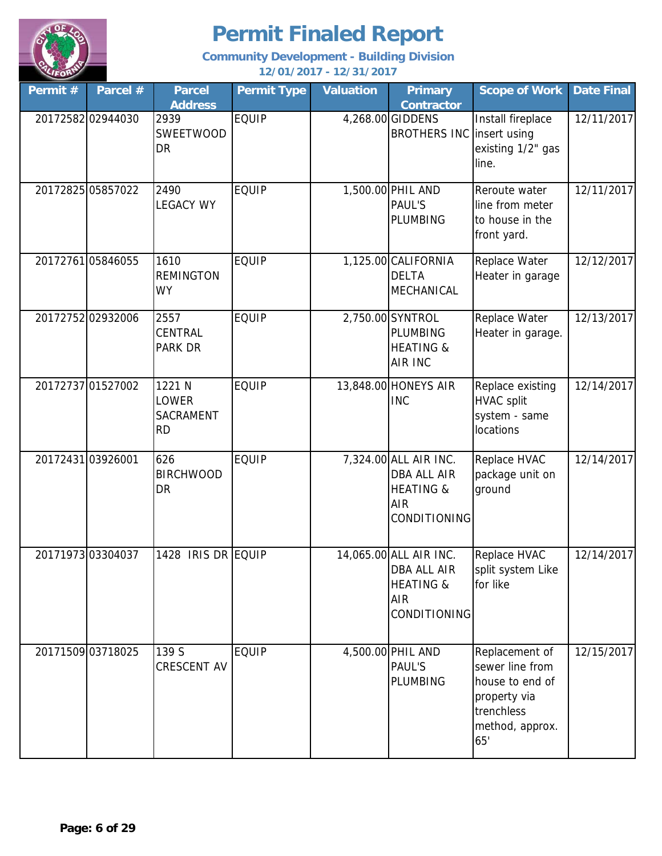

| Permit # | Parcel #          | <b>Parcel</b><br><b>Address</b>           | <b>Permit Type</b> | <b>Valuation</b> | <b>Primary</b><br><b>Contractor</b>                                                                       | <b>Scope of Work</b>                                                                                         | <b>Date Final</b> |
|----------|-------------------|-------------------------------------------|--------------------|------------------|-----------------------------------------------------------------------------------------------------------|--------------------------------------------------------------------------------------------------------------|-------------------|
|          | 20172582 02944030 | 2939<br>SWEETWOOD<br>DR                   | <b>EQUIP</b>       |                  | 4,268.00 GIDDENS<br>BROTHERS INC linsert using                                                            | Install fireplace<br>existing 1/2" gas<br>line.                                                              | 12/11/2017        |
|          | 20172825 05857022 | 2490<br><b>LEGACY WY</b>                  | <b>EQUIP</b>       |                  | 1,500.00 PHIL AND<br><b>PAUL'S</b><br>PLUMBING                                                            | Reroute water<br>line from meter<br>to house in the<br>front yard.                                           | 12/11/2017        |
|          | 2017276105846055  | 1610<br><b>REMINGTON</b><br><b>WY</b>     | <b>EQUIP</b>       |                  | 1,125.00 CALIFORNIA<br><b>DELTA</b><br>MECHANICAL                                                         | Replace Water<br>Heater in garage                                                                            | 12/12/2017        |
|          | 20172752 02932006 | 2557<br>CENTRAL<br><b>PARK DR</b>         | <b>EQUIP</b>       |                  | 2,750.00 SYNTROL<br><b>PLUMBING</b><br><b>HEATING &amp;</b><br><b>AIR INC</b>                             | Replace Water<br>Heater in garage.                                                                           | 12/13/2017        |
|          | 20172737 01527002 | 1221 N<br>LOWER<br>SACRAMENT<br><b>RD</b> | <b>EQUIP</b>       |                  | 13,848.00 HONEYS AIR<br><b>INC</b>                                                                        | Replace existing<br><b>HVAC split</b><br>system - same<br>locations                                          | 12/14/2017        |
|          | 20172431 03926001 | 626<br><b>BIRCHWOOD</b><br><b>DR</b>      | <b>EQUIP</b>       |                  | 7,324.00 ALL AIR INC.<br><b>DBA ALL AIR</b><br><b>HEATING &amp;</b><br><b>AIR</b><br><b>CONDITIONING</b>  | Replace HVAC<br>package unit on<br>ground                                                                    | 12/14/2017        |
|          | 20171973 03304037 | 1428 IRIS DR EQUIP                        |                    |                  | 14,065.00 ALL AIR INC.<br><b>DBA ALL AIR</b><br><b>HEATING &amp;</b><br><b>AIR</b><br><b>CONDITIONING</b> | Replace HVAC<br>split system Like<br>for like                                                                | 12/14/2017        |
|          | 20171509 03718025 | 139 S<br><b>CRESCENT AV</b>               | <b>EQUIP</b>       |                  | 4,500.00 PHIL AND<br><b>PAUL'S</b><br><b>PLUMBING</b>                                                     | Replacement of<br>sewer line from<br>house to end of<br>property via<br>trenchless<br>method, approx.<br>65' | 12/15/2017        |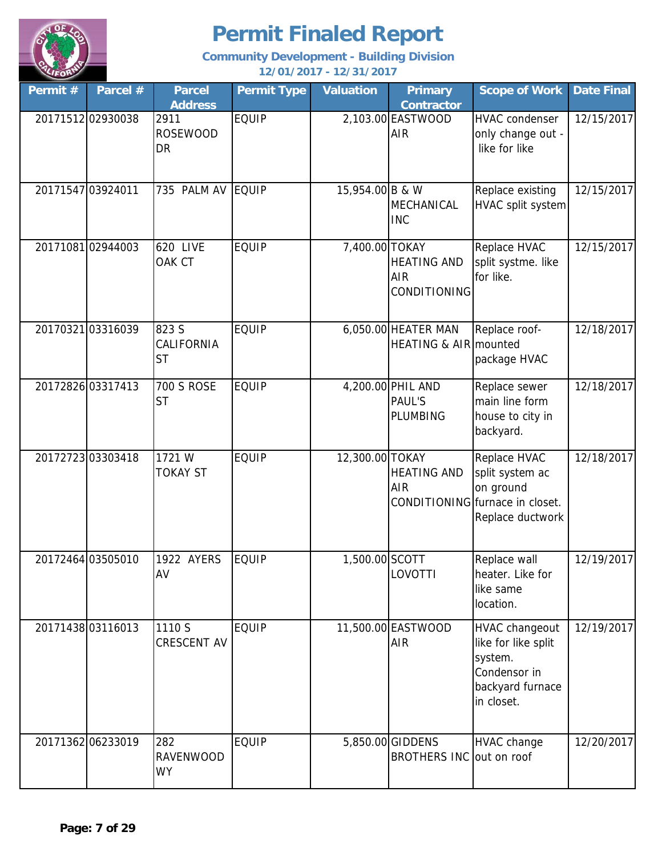

| Permit # | Parcel #          | <b>Parcel</b><br><b>Address</b>      | <b>Permit Type</b> | <b>Valuation</b> | <b>Primary</b><br><b>Contractor</b>              | <b>Scope of Work</b>                                                                                | Date Final |
|----------|-------------------|--------------------------------------|--------------------|------------------|--------------------------------------------------|-----------------------------------------------------------------------------------------------------|------------|
|          | 20171512 02930038 | 2911<br><b>ROSEWOOD</b><br>DR        | <b>EQUIP</b>       |                  | 2,103.00 EASTWOOD<br><b>AIR</b>                  | <b>HVAC</b> condenser<br>only change out -<br>like for like                                         | 12/15/2017 |
|          | 20171547 03924011 | 735 PALM AV                          | EQUIP              | 15,954.00 B & W  | MECHANICAL<br><b>INC</b>                         | Replace existing<br>HVAC split system                                                               | 12/15/2017 |
|          | 2017108102944003  | 620 LIVE<br>OAK CT                   | <b>EQUIP</b>       | 7,400.00 TOKAY   | <b>HEATING AND</b><br><b>AIR</b><br>CONDITIONING | Replace HVAC<br>split systme. like<br>for like.                                                     | 12/15/2017 |
|          | 2017032103316039  | 823 S<br>CALIFORNIA<br><b>ST</b>     | <b>EQUIP</b>       |                  | 6,050.00 HEATER MAN<br>HEATING & AIR mounted     | Replace roof-<br>package HVAC                                                                       | 12/18/2017 |
|          | 2017282603317413  | <b>700 S ROSE</b><br><b>ST</b>       | <b>EQUIP</b>       |                  | 4,200.00 PHIL AND<br><b>PAUL'S</b><br>PLUMBING   | Replace sewer<br>main line form<br>house to city in<br>backyard.                                    | 12/18/2017 |
|          | 2017272303303418  | 1721 W<br><b>TOKAY ST</b>            | <b>EQUIP</b>       | 12,300.00 TOKAY  | <b>HEATING AND</b><br><b>AIR</b>                 | Replace HVAC<br>split system ac<br>on ground<br>CONDITIONING furnace in closet.<br>Replace ductwork | 12/18/2017 |
|          | 20172464 03505010 | 1922 AYERS<br>AV                     | <b>EQUIP</b>       | 1,500.00 SCOTT   | LOVOTTI                                          | Replace wall<br>heater. Like for<br>like same<br>location.                                          | 12/19/2017 |
|          | 20171438 03116013 | 1110 S<br>CRESCENT AV                | <b>EQUIP</b>       |                  | 11,500.00 EASTWOOD<br><b>AIR</b>                 | HVAC changeout<br>like for like split<br>system.<br>Condensor in<br>backyard furnace<br>in closet.  | 12/19/2017 |
|          | 20171362 06233019 | 282<br><b>RAVENWOOD</b><br><b>WY</b> | <b>EQUIP</b>       |                  | 5,850.00 GIDDENS<br>BROTHERS INC out on roof     | <b>HVAC change</b>                                                                                  | 12/20/2017 |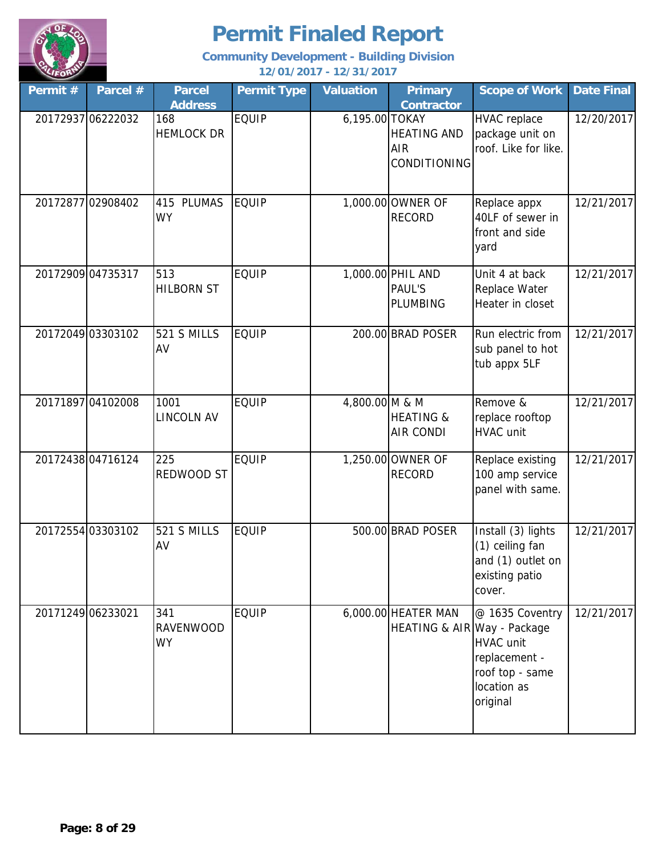

| Permit # | Parcel #          | <b>Parcel</b><br><b>Address</b>      | <b>Permit Type</b> | <b>Valuation</b> | <b>Primary</b><br>Contractor                            | <b>Scope of Work</b>                                                                               | <b>Date Final</b> |
|----------|-------------------|--------------------------------------|--------------------|------------------|---------------------------------------------------------|----------------------------------------------------------------------------------------------------|-------------------|
|          | 20172937 06222032 | 168<br><b>HEMLOCK DR</b>             | <b>EQUIP</b>       | 6,195.00 TOKAY   | <b>HEATING AND</b><br><b>AIR</b><br><b>CONDITIONING</b> | <b>HVAC</b> replace<br>package unit on<br>roof. Like for like.                                     | 12/20/2017        |
|          | 2017287702908402  | 415 PLUMAS<br><b>WY</b>              | <b>EQUIP</b>       |                  | 1,000.00 OWNER OF<br><b>RECORD</b>                      | Replace appx<br>40LF of sewer in<br>front and side<br>yard                                         | 12/21/2017        |
|          | 20172909 04735317 | 513<br><b>HILBORN ST</b>             | <b>EQUIP</b>       |                  | 1,000.00 PHIL AND<br>PAUL'S<br><b>PLUMBING</b>          | Unit 4 at back<br>Replace Water<br>Heater in closet                                                | 12/21/2017        |
|          | 20172049 03303102 | 521 S MILLS<br>AV                    | <b>EQUIP</b>       |                  | 200.00 BRAD POSER                                       | Run electric from<br>sub panel to hot<br>tub appx 5LF                                              | 12/21/2017        |
|          | 20171897 04102008 | 1001<br><b>LINCOLN AV</b>            | <b>EQUIP</b>       | 4,800.00 M & M   | <b>HEATING &amp;</b><br><b>AIR CONDI</b>                | Remove &<br>replace rooftop<br><b>HVAC</b> unit                                                    | 12/21/2017        |
|          | 2017243804716124  | 225<br>REDWOOD ST                    | <b>EQUIP</b>       |                  | 1,250.00 OWNER OF<br><b>RECORD</b>                      | Replace existing<br>100 amp service<br>panel with same.                                            | 12/21/2017        |
|          | 20172554 03303102 | 521 S MILLS<br>AV                    | <b>EQUIP</b>       |                  | 500.00 BRAD POSER                                       | Install (3) lights<br>(1) ceiling fan<br>and (1) outlet on<br>existing patio<br>cover.             | 12/21/2017        |
|          | 20171249 06233021 | 341<br><b>RAVENWOOD</b><br><b>WY</b> | <b>EQUIP</b>       |                  | 6,000.00 HEATER MAN<br>HEATING & AIR Way - Package      | @ 1635 Coventry<br><b>HVAC</b> unit<br>replacement -<br>roof top - same<br>location as<br>original | 12/21/2017        |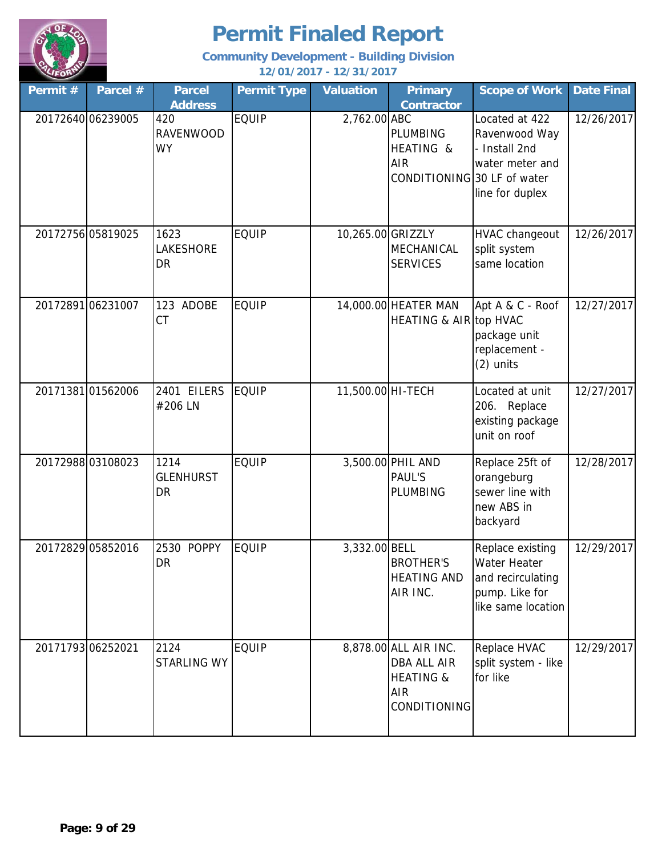

| Permit #          | Parcel #          | <b>Parcel</b><br><b>Address</b> | <b>Permit Type</b> | <b>Valuation</b>  | <b>Primary</b><br><b>Contractor</b>                                                               | <b>Scope of Work</b>                                                                                 | <b>Date Final</b> |
|-------------------|-------------------|---------------------------------|--------------------|-------------------|---------------------------------------------------------------------------------------------------|------------------------------------------------------------------------------------------------------|-------------------|
|                   | 20172640 06239005 | 420<br><b>RAVENWOOD</b><br>WY   | <b>EQUIP</b>       | 2,762.00 ABC      | <b>PLUMBING</b><br>HEATING &<br><b>AIR</b><br>CONDITIONING 30 LF of water                         | Located at 422<br>Ravenwood Way<br>- Install 2nd<br>water meter and<br>line for duplex               | 12/26/2017        |
|                   | 20172756 05819025 | 1623<br>LAKESHORE<br>DR         | <b>EQUIP</b>       | 10,265.00 GRIZZLY | <b>MECHANICAL</b><br><b>SERVICES</b>                                                              | <b>HVAC changeout</b><br>split system<br>same location                                               | 12/26/2017        |
|                   | 2017289106231007  | 123 ADOBE<br>СT                 | <b>EQUIP</b>       |                   | 14,000.00 HEATER MAN<br><b>HEATING &amp; AIR top HVAC</b>                                         | Apt A & C - Roof<br>package unit<br>replacement -<br>$(2)$ units                                     | 12/27/2017        |
|                   | 2017138101562006  | 2401 EILERS<br>#206 LN          | <b>EQUIP</b>       | 11,500.00 HI-TECH |                                                                                                   | Located at unit<br>206. Replace<br>existing package<br>unit on roof                                  | 12/27/2017        |
|                   | 2017298803108023  | 1214<br><b>GLENHURST</b><br>DR  | <b>EQUIP</b>       |                   | 3,500.00 PHIL AND<br><b>PAUL'S</b><br><b>PLUMBING</b>                                             | Replace 25ft of<br>orangeburg<br>sewer line with<br>new ABS in<br>backyard                           | 12/28/2017        |
|                   | 20172829 05852016 | 2530 POPPY<br>DR                | <b>EQUIP</b>       | 3,332.00 BELL     | <b>BROTHER'S</b><br><b>HEATING AND</b><br>AIR INC.                                                | Replace existing<br><b>Water Heater</b><br>and recirculating<br>pump. Like for<br>like same location | 12/29/2017        |
| 20171793 06252021 |                   | 2124<br><b>STARLING WY</b>      | <b>EQUIP</b>       |                   | 8,878.00 ALL AIR INC.<br>DBA ALL AIR<br><b>HEATING &amp;</b><br><b>AIR</b><br><b>CONDITIONING</b> | Replace HVAC<br>split system - like<br>for like                                                      | 12/29/2017        |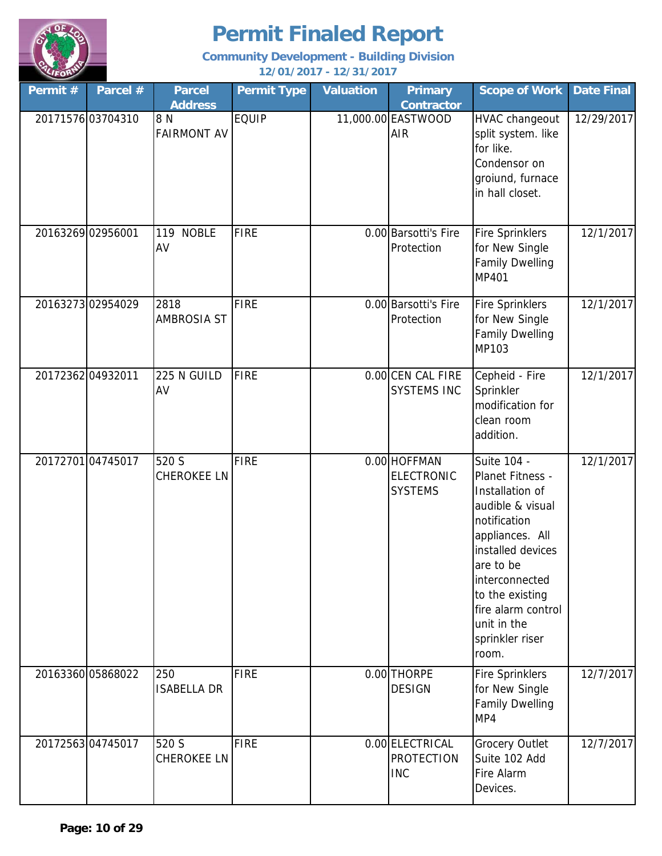

| Permit#           | Parcel #          | <b>Parcel</b><br><b>Address</b> | <b>Permit Type</b> | <b>Valuation</b> | <b>Primary</b><br><b>Contractor</b>                 | <b>Scope of Work</b>                                                                                                                                                                                                                              | <b>Date Final</b> |
|-------------------|-------------------|---------------------------------|--------------------|------------------|-----------------------------------------------------|---------------------------------------------------------------------------------------------------------------------------------------------------------------------------------------------------------------------------------------------------|-------------------|
|                   | 20171576 03704310 | 8N<br><b>FAIRMONT AV</b>        | <b>EQUIP</b>       |                  | 11,000.00 EASTWOOD<br><b>AIR</b>                    | HVAC changeout<br>split system. like<br>for like.<br>Condensor on<br>groiund, furnace<br>in hall closet.                                                                                                                                          | 12/29/2017        |
| 20163269 02956001 |                   | 119 NOBLE<br>AV                 | <b>FIRE</b>        |                  | 0.00 Barsotti's Fire<br>Protection                  | <b>Fire Sprinklers</b><br>for New Single<br><b>Family Dwelling</b><br>MP401                                                                                                                                                                       | 12/1/2017         |
|                   | 2016327302954029  | 2818<br><b>AMBROSIA ST</b>      | <b>FIRE</b>        |                  | 0.00 Barsotti's Fire<br>Protection                  | <b>Fire Sprinklers</b><br>for New Single<br><b>Family Dwelling</b><br>MP103                                                                                                                                                                       | 12/1/2017         |
| 20172362 04932011 |                   | 225 N GUILD<br>AV               | <b>FIRE</b>        |                  | 0.00 CEN CAL FIRE<br><b>SYSTEMS INC</b>             | Cepheid - Fire<br>Sprinkler<br>modification for<br>clean room<br>addition.                                                                                                                                                                        | 12/1/2017         |
|                   | 2017270104745017  | 520 S<br><b>CHEROKEE LN</b>     | <b>FIRE</b>        |                  | 0.00 HOFFMAN<br><b>ELECTRONIC</b><br><b>SYSTEMS</b> | Suite 104 -<br>Planet Fitness -<br>Installation of<br>audible & visual<br>notification<br>appliances. All<br>installed devices<br>are to be<br>interconnected<br>to the existing<br>fire alarm control<br>unit in the<br>sprinkler riser<br>room. | 12/1/2017         |
|                   | 20163360 05868022 | 250<br><b>ISABELLA DR</b>       | <b>FIRE</b>        |                  | 0.00 THORPE<br><b>DESIGN</b>                        | <b>Fire Sprinklers</b><br>for New Single<br><b>Family Dwelling</b><br>MP4                                                                                                                                                                         | 12/7/2017         |
|                   | 2017256304745017  | 520 S<br>CHEROKEE LN            | <b>FIRE</b>        |                  | 0.00 ELECTRICAL<br><b>PROTECTION</b><br><b>INC</b>  | <b>Grocery Outlet</b><br>Suite 102 Add<br>Fire Alarm<br>Devices.                                                                                                                                                                                  | 12/7/2017         |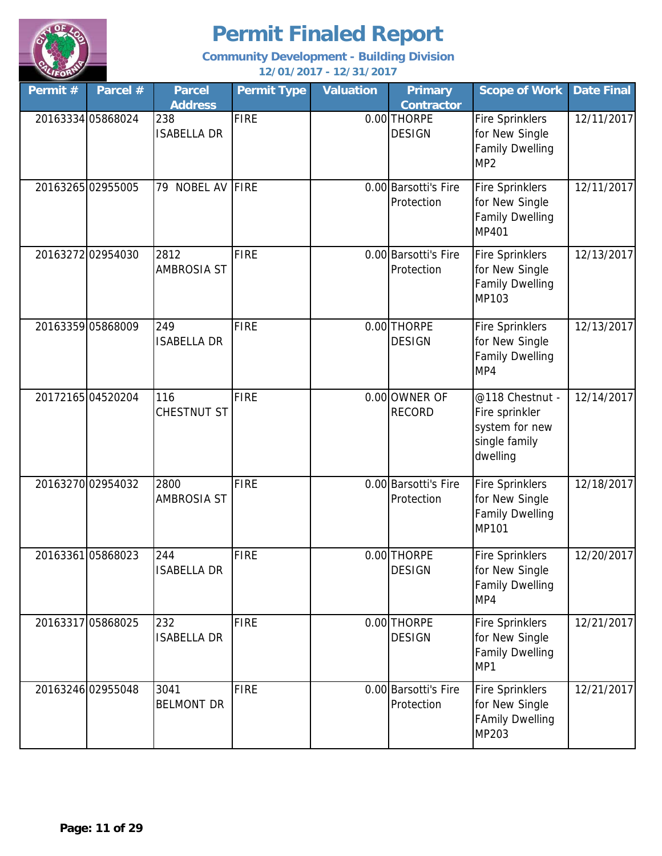

| Permit # | Parcel #          | <b>Parcel</b><br><b>Address</b> | <b>Permit Type</b> | <b>Valuation</b> | <b>Primary</b><br><b>Contractor</b> | <b>Scope of Work</b>                                                                  | <b>Date Final</b> |
|----------|-------------------|---------------------------------|--------------------|------------------|-------------------------------------|---------------------------------------------------------------------------------------|-------------------|
|          | 20163334 05868024 | 238<br><b>ISABELLA DR</b>       | <b>FIRE</b>        |                  | 0.00 THORPE<br><b>DESIGN</b>        | <b>Fire Sprinklers</b><br>for New Single<br><b>Family Dwelling</b><br>MP <sub>2</sub> | 12/11/2017        |
|          | 20163265 02955005 | NOBEL AV<br>79                  | <b>FIRE</b>        |                  | 0.00 Barsotti's Fire<br>Protection  | <b>Fire Sprinklers</b><br>for New Single<br><b>Family Dwelling</b><br>MP401           | 12/11/2017        |
|          | 20163272 02954030 | 2812<br><b>AMBROSIA ST</b>      | <b>FIRE</b>        |                  | 0.00 Barsotti's Fire<br>Protection  | <b>Fire Sprinklers</b><br>for New Single<br><b>Family Dwelling</b><br>MP103           | 12/13/2017        |
|          | 20163359 05868009 | 249<br><b>ISABELLA DR</b>       | <b>FIRE</b>        |                  | 0.00 THORPE<br><b>DESIGN</b>        | <b>Fire Sprinklers</b><br>for New Single<br><b>Family Dwelling</b><br>MP4             | 12/13/2017        |
|          | 20172165 04520204 | 116<br>CHESTNUT ST              | <b>FIRE</b>        |                  | 0.00 OWNER OF<br><b>RECORD</b>      | @118 Chestnut -<br>Fire sprinkler<br>system for new<br>single family<br>dwelling      | 12/14/2017        |
|          | 20163270 02954032 | 2800<br><b>AMBROSIA ST</b>      | <b>FIRE</b>        |                  | 0.00 Barsotti's Fire<br>Protection  | <b>Fire Sprinklers</b><br>for New Single<br><b>Family Dwelling</b><br><b>MP101</b>    | 12/18/2017        |
|          | 20163361 05868023 | 244<br><b>ISABELLA DR</b>       | <b>FIRE</b>        |                  | 0.00 THORPE<br><b>DESIGN</b>        | <b>Fire Sprinklers</b><br>for New Single<br><b>Family Dwelling</b><br>MP4             | 12/20/2017        |
|          | 20163317 05868025 | 232<br><b>ISABELLA DR</b>       | <b>FIRE</b>        |                  | 0.00 THORPE<br><b>DESIGN</b>        | <b>Fire Sprinklers</b><br>for New Single<br><b>Family Dwelling</b><br>MP1             | 12/21/2017        |
|          | 20163246 02955048 | 3041<br><b>BELMONT DR</b>       | <b>FIRE</b>        |                  | 0.00 Barsotti's Fire<br>Protection  | <b>Fire Sprinklers</b><br>for New Single<br><b>FAmily Dwelling</b><br>MP203           | 12/21/2017        |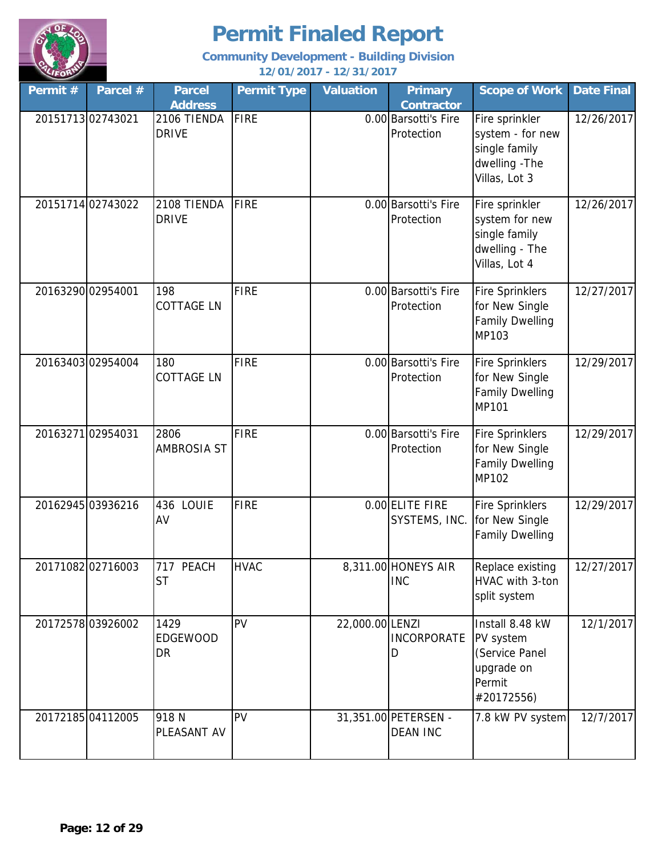

| Permit # | Parcel #          | <b>Parcel</b><br><b>Address</b>      | <b>Permit Type</b> | <b>Valuation</b> | <b>Primary</b><br><b>Contractor</b>     | <b>Scope of Work</b>                                                                   | <b>Date Final</b> |
|----------|-------------------|--------------------------------------|--------------------|------------------|-----------------------------------------|----------------------------------------------------------------------------------------|-------------------|
|          | 20151713 02743021 | 2106 TIENDA<br><b>DRIVE</b>          | <b>FIRE</b>        |                  | 0.00 Barsotti's Fire<br>Protection      | Fire sprinkler<br>system - for new<br>single family<br>dwelling - The<br>Villas, Lot 3 | 12/26/2017        |
|          | 20151714 02743022 | 2108 TIENDA<br><b>DRIVE</b>          | FIRE               |                  | 0.00 Barsotti's Fire<br>Protection      | Fire sprinkler<br>system for new<br>single family<br>dwelling - The<br>Villas, Lot 4   | 12/26/2017        |
|          | 20163290 02954001 | 198<br><b>COTTAGE LN</b>             | <b>FIRE</b>        |                  | 0.00 Barsotti's Fire<br>Protection      | <b>Fire Sprinklers</b><br>for New Single<br><b>Family Dwelling</b><br>MP103            | 12/27/2017        |
|          | 20163403 02954004 | 180<br><b>COTTAGE LN</b>             | <b>FIRE</b>        |                  | 0.00 Barsotti's Fire<br>Protection      | <b>Fire Sprinklers</b><br>for New Single<br><b>Family Dwelling</b><br><b>MP101</b>     | 12/29/2017        |
|          | 2016327102954031  | 2806<br><b>AMBROSIA ST</b>           | <b>FIRE</b>        |                  | 0.00 Barsotti's Fire<br>Protection      | <b>Fire Sprinklers</b><br>for New Single<br><b>Family Dwelling</b><br><b>MP102</b>     | 12/29/2017        |
|          | 20162945 03936216 | 436 LOUIE<br>AV                      | <b>FIRE</b>        |                  | 0.00 ELITE FIRE<br>SYSTEMS, INC.        | <b>Fire Sprinklers</b><br>for New Single<br><b>Family Dwelling</b>                     | 12/29/2017        |
|          | 2017108202716003  | 717 PEACH<br><b>ST</b>               | <b>HVAC</b>        |                  | 8,311.00 HONEYS AIR<br><b>INC</b>       | Replace existing<br>HVAC with 3-ton<br>split system                                    | 12/27/2017        |
|          | 20172578 03926002 | 1429<br><b>EDGEWOOD</b><br><b>DR</b> | PV                 | 22,000.00 LENZI  | <b>INCORPORATE</b><br>I)                | Install 8.48 kW<br>PV system<br>(Service Panel<br>upgrade on<br>Permit<br>#20172556)   | 12/1/2017         |
|          | 20172185 04112005 | 918N<br>PLEASANT AV                  | <b>PV</b>          |                  | 31,351.00 PETERSEN -<br><b>DEAN INC</b> | 7.8 kW PV system                                                                       | 12/7/2017         |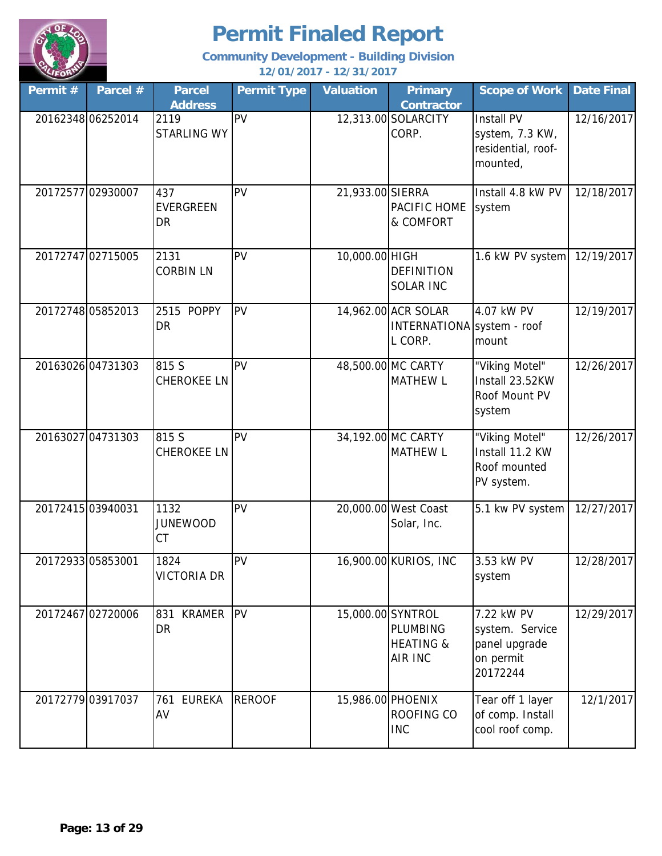

| Permit #          | Parcel #          | <b>Parcel</b><br><b>Address</b> | <b>Permit Type</b> | <b>Valuation</b>  | <b>Primary</b><br><b>Contractor</b>                          | <b>Scope of Work</b>                                                    | <b>Date Final</b> |
|-------------------|-------------------|---------------------------------|--------------------|-------------------|--------------------------------------------------------------|-------------------------------------------------------------------------|-------------------|
|                   | 2016234806252014  | 2119<br><b>STARLING WY</b>      | PV                 |                   | 12,313.00 SOLARCITY<br>CORP.                                 | Install PV<br>system, 7.3 KW,<br>residential, roof-<br>mounted,         | 12/16/2017        |
|                   | 20172577 02930007 | 437<br>EVERGREEN<br>DR          | PV                 | 21,933.00 SIERRA  | PACIFIC HOME<br>& COMFORT                                    | Install 4.8 kW PV<br>system                                             | 12/18/2017        |
|                   | 20172747 02715005 | 2131<br><b>CORBIN LN</b>        | PV                 | 10,000.00 HIGH    | <b>DEFINITION</b><br><b>SOLAR INC</b>                        | 1.6 kW PV system                                                        | 12/19/2017        |
|                   | 20172748 05852013 | 2515 POPPY<br><b>DR</b>         | PV                 |                   | 14,962.00 ACR SOLAR<br>INTERNATIONA system - roof<br>L CORP. | 4.07 kW PV<br>mount                                                     | 12/19/2017        |
|                   | 20163026 04731303 | 815 S<br><b>CHEROKEE LN</b>     | <b>PV</b>          |                   | 48,500.00 MC CARTY<br><b>MATHEW L</b>                        | "Viking Motel"<br>Install 23.52KW<br>Roof Mount PV<br>system            | 12/26/2017        |
|                   | 20163027 04731303 | 815 S<br><b>CHEROKEE LN</b>     | <b>PV</b>          |                   | 34,192.00 MC CARTY<br><b>MATHEW L</b>                        | "Viking Motel"<br>Install 11.2 KW<br>Roof mounted<br>PV system.         | 12/26/2017        |
| 20172415 03940031 |                   | 1132<br><b>JUNEWOOD</b><br>CT   | PV                 |                   | 20,000.00 West Coast<br>Solar, Inc.                          | 5.1 kw PV system                                                        | 12/27/2017        |
| 20172933 05853001 |                   | 1824<br><b>VICTORIA DR</b>      | PV                 |                   | 16,900.00 KURIOS, INC                                        | 3.53 kW PV<br>system                                                    | 12/28/2017        |
|                   | 20172467 02720006 | 831 KRAMER<br><b>DR</b>         | <b>PV</b>          | 15,000.00 SYNTROL | PLUMBING<br><b>HEATING &amp;</b><br><b>AIR INC</b>           | 7.22 kW PV<br>system. Service<br>panel upgrade<br>on permit<br>20172244 | 12/29/2017        |
|                   | 20172779 03917037 | 761 EUREKA<br>AV                | <b>REROOF</b>      | 15,986.00 PHOENIX | ROOFING CO<br><b>INC</b>                                     | Tear off 1 layer<br>of comp. Install<br>cool roof comp.                 | 12/1/2017         |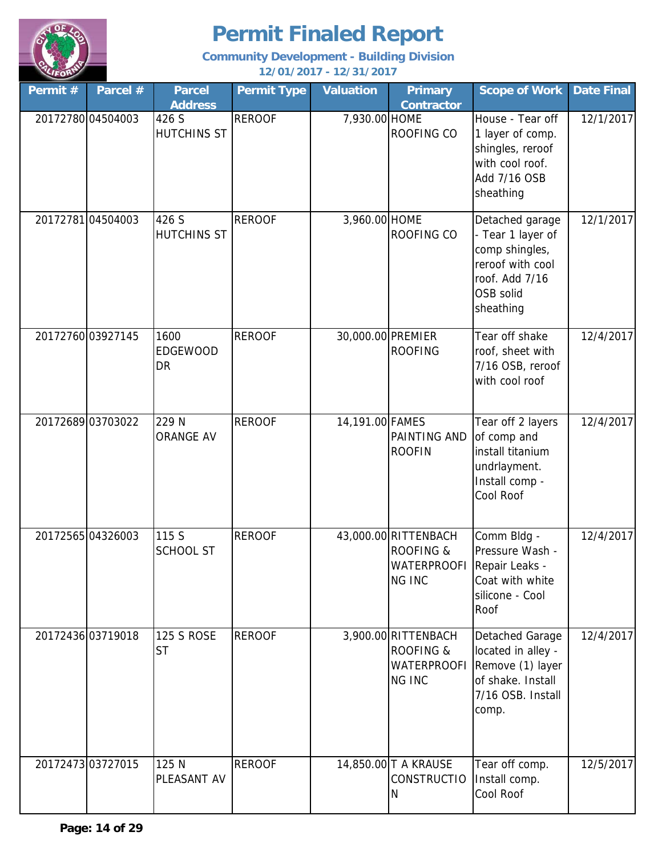

| Permit # | Parcel #          | <b>Parcel</b><br><b>Address</b> | <b>Permit Type</b> | <b>Valuation</b>  | <b>Primary</b><br><b>Contractor</b>                                                         | <b>Scope of Work</b>                                                                                                   | <b>Date Final</b> |
|----------|-------------------|---------------------------------|--------------------|-------------------|---------------------------------------------------------------------------------------------|------------------------------------------------------------------------------------------------------------------------|-------------------|
|          | 20172780 04504003 | 426 S<br><b>HUTCHINS ST</b>     | <b>REROOF</b>      | 7,930.00 HOME     | ROOFING CO                                                                                  | House - Tear off<br>1 layer of comp.<br>shingles, reroof<br>with cool roof.<br>Add 7/16 OSB<br>sheathing               | 12/1/2017         |
|          | 20172781 04504003 | 426 S<br><b>HUTCHINS ST</b>     | <b>REROOF</b>      | 3,960.00 HOME     | ROOFING CO                                                                                  | Detached garage<br>- Tear 1 layer of<br>comp shingles,<br>reroof with cool<br>roof. Add 7/16<br>OSB solid<br>sheathing | 12/1/2017         |
|          | 20172760 03927145 | 1600<br><b>EDGEWOOD</b><br>DR   | <b>REROOF</b>      | 30,000.00 PREMIER | <b>ROOFING</b>                                                                              | Tear off shake<br>roof, sheet with<br>7/16 OSB, reroof<br>with cool roof                                               | 12/4/2017         |
|          | 20172689 03703022 | 229 N<br><b>ORANGE AV</b>       | <b>REROOF</b>      | 14,191.00 FAMES   | PAINTING AND<br><b>ROOFIN</b>                                                               | Tear off 2 layers<br>of comp and<br>install titanium<br>undrlayment.<br>Install comp -<br>Cool Roof                    | 12/4/2017         |
|          | 2017256504326003  | 115 S<br><b>SCHOOL ST</b>       | <b>REROOF</b>      |                   | 43,000.00 RITTENBACH<br><b>ROOFING &amp;</b><br>WATERPROOFI Repair Leaks -<br><b>NG INC</b> | Comm Bldg -<br>Pressure Wash -<br>Coat with white<br>silicone - Cool<br>Roof                                           | 12/4/2017         |
|          | 20172436 03719018 | <b>125 S ROSE</b><br><b>ST</b>  | <b>REROOF</b>      |                   | 3,900.00 RITTENBACH<br><b>ROOFING &amp;</b><br><b>WATERPROOFI</b><br><b>NG INC</b>          | Detached Garage<br>located in alley -<br>Remove (1) layer<br>of shake. Install<br>7/16 OSB. Install<br>comp.           | 12/4/2017         |
|          | 20172473 03727015 | 125 N<br>PLEASANT AV            | <b>REROOF</b>      |                   | 14,850.00 T A KRAUSE<br><b>CONSTRUCTIO</b><br>N                                             | Tear off comp.<br>Install comp.<br>Cool Roof                                                                           | 12/5/2017         |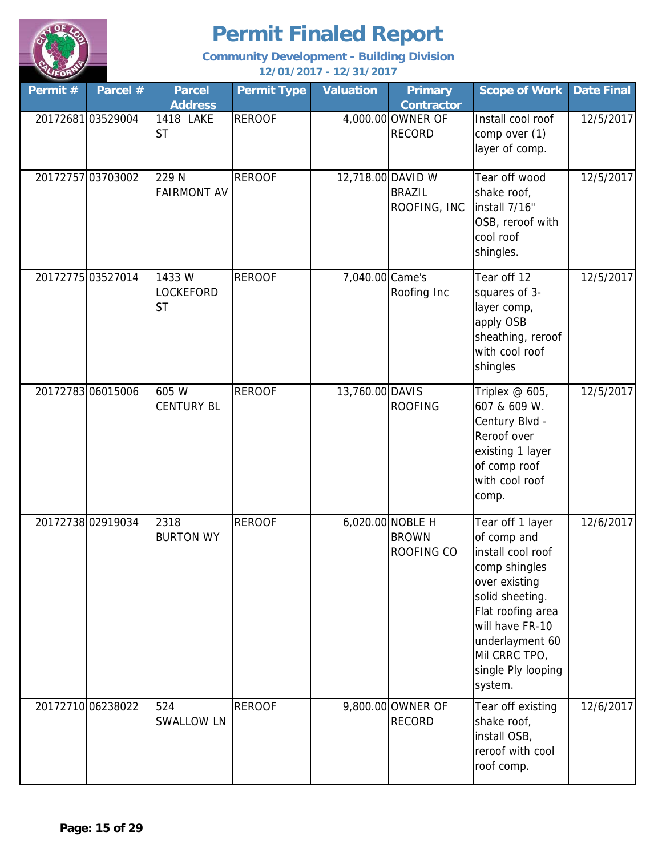

| Permit # | Parcel #          | <b>Parcel</b><br><b>Address</b>        | <b>Permit Type</b> | <b>Valuation</b>  | <b>Primary</b><br><b>Contractor</b>            | <b>Scope of Work</b>                                                                                                                                                                                                   | <b>Date Final</b> |
|----------|-------------------|----------------------------------------|--------------------|-------------------|------------------------------------------------|------------------------------------------------------------------------------------------------------------------------------------------------------------------------------------------------------------------------|-------------------|
|          | 2017268103529004  | 1418 LAKE<br><b>ST</b>                 | <b>REROOF</b>      |                   | 4,000.00 OWNER OF<br><b>RECORD</b>             | Install cool roof<br>comp over (1)<br>layer of comp.                                                                                                                                                                   | 12/5/2017         |
|          | 20172757 03703002 | 229 N<br><b>FAIRMONT AV</b>            | <b>REROOF</b>      | 12,718.00 DAVID W | <b>BRAZIL</b><br>ROOFING, INC                  | Tear off wood<br>shake roof,<br>install 7/16"<br>OSB, reroof with<br>cool roof<br>shingles.                                                                                                                            | 12/5/2017         |
|          | 20172775 03527014 | 1433W<br><b>LOCKEFORD</b><br><b>ST</b> | <b>REROOF</b>      | 7,040.00 Came's   | Roofing Inc                                    | Tear off 12<br>squares of 3-<br>layer comp,<br>apply OSB<br>sheathing, reroof<br>with cool roof<br>shingles                                                                                                            | 12/5/2017         |
|          | 20172783 06015006 | 605 W<br><b>CENTURY BL</b>             | <b>REROOF</b>      | 13,760.00 DAVIS   | <b>ROOFING</b>                                 | Triplex @ 605,<br>607 & 609 W.<br>Century Blvd -<br>Reroof over<br>existing 1 layer<br>of comp roof<br>with cool roof<br>comp.                                                                                         | 12/5/2017         |
|          | 20172738 02919034 | 2318<br><b>BURTON WY</b>               | <b>REROOF</b>      |                   | 6,020.00 NOBLE H<br><b>BROWN</b><br>ROOFING CO | Tear off 1 layer<br>of comp and<br>install cool roof<br>comp shingles<br>over existing<br>solid sheeting.<br>Flat roofing area<br>will have FR-10<br>underlayment 60<br>Mil CRRC TPO,<br>single Ply looping<br>system. | 12/6/2017         |
|          | 20172710 06238022 | 524<br><b>SWALLOW LN</b>               | <b>REROOF</b>      |                   | 9,800.00 OWNER OF<br><b>RECORD</b>             | Tear off existing<br>shake roof,<br>install OSB,<br>reroof with cool<br>roof comp.                                                                                                                                     | 12/6/2017         |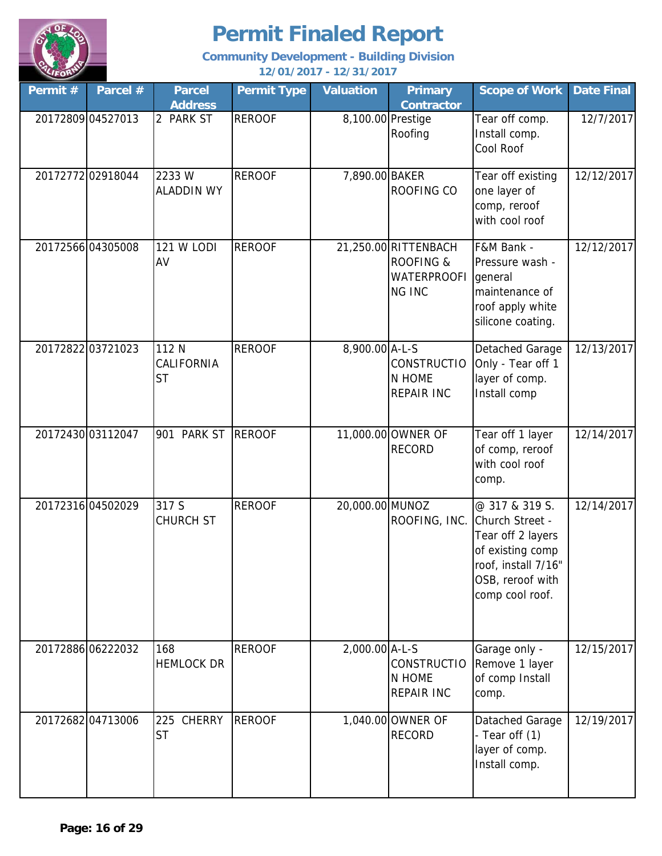

| Permit # | Parcel #          | <b>Parcel</b><br><b>Address</b>  | <b>Permit Type</b> | <b>Valuation</b>  | <b>Primary</b><br><b>Contractor</b>                                                 | <b>Scope of Work</b>                                                                                                                     | <b>Date Final</b> |
|----------|-------------------|----------------------------------|--------------------|-------------------|-------------------------------------------------------------------------------------|------------------------------------------------------------------------------------------------------------------------------------------|-------------------|
|          | 20172809 04527013 | 2 PARK ST                        | <b>REROOF</b>      | 8,100.00 Prestige | Roofing                                                                             | Tear off comp.<br>Install comp.<br>Cool Roof                                                                                             | 12/7/2017         |
|          | 20172772 02918044 | 2233W<br><b>ALADDIN WY</b>       | <b>REROOF</b>      | 7,890.00 BAKER    | ROOFING CO                                                                          | Tear off existing<br>one layer of<br>comp, reroof<br>with cool roof                                                                      | 12/12/2017        |
|          | 20172566 04305008 | <b>121 W LODI</b><br>AV          | <b>REROOF</b>      |                   | 21,250.00 RITTENBACH<br><b>ROOFING &amp;</b><br><b>WATERPROOFI</b><br><b>NG INC</b> | F&M Bank -<br>Pressure wash -<br>general<br>maintenance of<br>roof apply white<br>silicone coating.                                      | 12/12/2017        |
|          | 20172822 03721023 | 112 N<br>CALIFORNIA<br><b>ST</b> | <b>REROOF</b>      | 8,900.00 A-L-S    | <b>CONSTRUCTIO</b><br>N HOME<br><b>REPAIR INC</b>                                   | Detached Garage<br>Only - Tear off 1<br>layer of comp.<br>Install comp                                                                   | 12/13/2017        |
|          | 20172430 03112047 | 901 PARK ST                      | <b>REROOF</b>      |                   | 11,000.00 OWNER OF<br><b>RECORD</b>                                                 | Tear off 1 layer<br>of comp, reroof<br>with cool roof<br>comp.                                                                           | 12/14/2017        |
|          | 20172316 04502029 | 317 S<br><b>CHURCH ST</b>        | <b>REROOF</b>      | 20,000.00 MUNOZ   | ROOFING, INC.                                                                       | @ 317 & 319 S.<br>Church Street -<br>Tear off 2 layers<br>of existing comp<br>roof, install 7/16"<br>OSB, reroof with<br>comp cool roof. | 12/14/2017        |
|          | 20172886 06222032 | 168<br><b>HEMLOCK DR</b>         | <b>REROOF</b>      | 2,000.00 A-L-S    | <b>CONSTRUCTIO</b><br>N HOME<br><b>REPAIR INC</b>                                   | Garage only -<br>Remove 1 layer<br>of comp Install<br>comp.                                                                              | 12/15/2017        |
|          | 20172682 04713006 | 225 CHERRY<br><b>ST</b>          | <b>REROOF</b>      |                   | 1,040.00 OWNER OF<br><b>RECORD</b>                                                  | Datached Garage<br>- Tear off $(1)$<br>layer of comp.<br>Install comp.                                                                   | 12/19/2017        |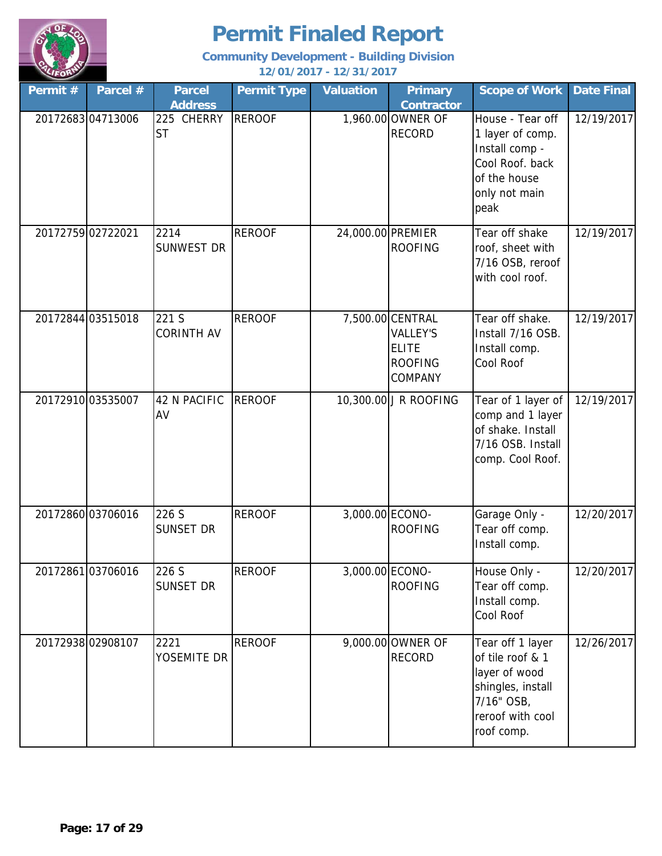

| Permit#           | Parcel #          | <b>Parcel</b><br><b>Address</b> | <b>Permit Type</b> | <b>Valuation</b>  | <b>Primary</b><br><b>Contractor</b>                                              | <b>Scope of Work</b>                                                                                                       | <b>Date Final</b> |
|-------------------|-------------------|---------------------------------|--------------------|-------------------|----------------------------------------------------------------------------------|----------------------------------------------------------------------------------------------------------------------------|-------------------|
|                   | 2017268304713006  | 225 CHERRY<br><b>ST</b>         | <b>REROOF</b>      |                   | 1,960.00 OWNER OF<br><b>RECORD</b>                                               | House - Tear off<br>1 layer of comp.<br>Install comp -<br>Cool Roof. back<br>of the house<br>only not main<br>peak         | 12/19/2017        |
| 20172759 02722021 |                   | 2214<br><b>SUNWEST DR</b>       | <b>REROOF</b>      | 24,000.00 PREMIER | <b>ROOFING</b>                                                                   | Tear off shake<br>roof, sheet with<br>7/16 OSB, reroof<br>with cool roof.                                                  | 12/19/2017        |
|                   | 20172844 03515018 | 221 S<br><b>CORINTH AV</b>      | <b>REROOF</b>      |                   | 7,500.00 CENTRAL<br><b>VALLEY'S</b><br><b>ELITE</b><br><b>ROOFING</b><br>COMPANY | Tear off shake.<br>Install 7/16 OSB.<br>Install comp.<br>Cool Roof                                                         | 12/19/2017        |
|                   | 20172910 03535007 | <b>42 N PACIFIC</b><br>AV       | <b>REROOF</b>      |                   | 10,300.00 J R ROOFING                                                            | Tear of 1 layer of<br>comp and 1 layer<br>of shake. Install<br>7/16 OSB. Install<br>comp. Cool Roof.                       | 12/19/2017        |
|                   | 2017286003706016  | 226 S<br><b>SUNSET DR</b>       | <b>REROOF</b>      | 3,000.00 ECONO-   | <b>ROOFING</b>                                                                   | Garage Only -<br>Tear off comp.<br>Install comp.                                                                           | 12/20/2017        |
|                   | 2017286103706016  | 226 S<br><b>SUNSET DR</b>       | <b>REROOF</b>      | 3,000.00 ECONO-   | <b>ROOFING</b>                                                                   | House Only -<br>Tear off comp.<br>Install comp.<br>Cool Roof                                                               | 12/20/2017        |
|                   | 20172938 02908107 | 2221<br>YOSEMITE DR             | <b>REROOF</b>      |                   | 9,000.00 OWNER OF<br><b>RECORD</b>                                               | Tear off 1 layer<br>of tile roof & 1<br>layer of wood<br>shingles, install<br>7/16" OSB,<br>reroof with cool<br>roof comp. | 12/26/2017        |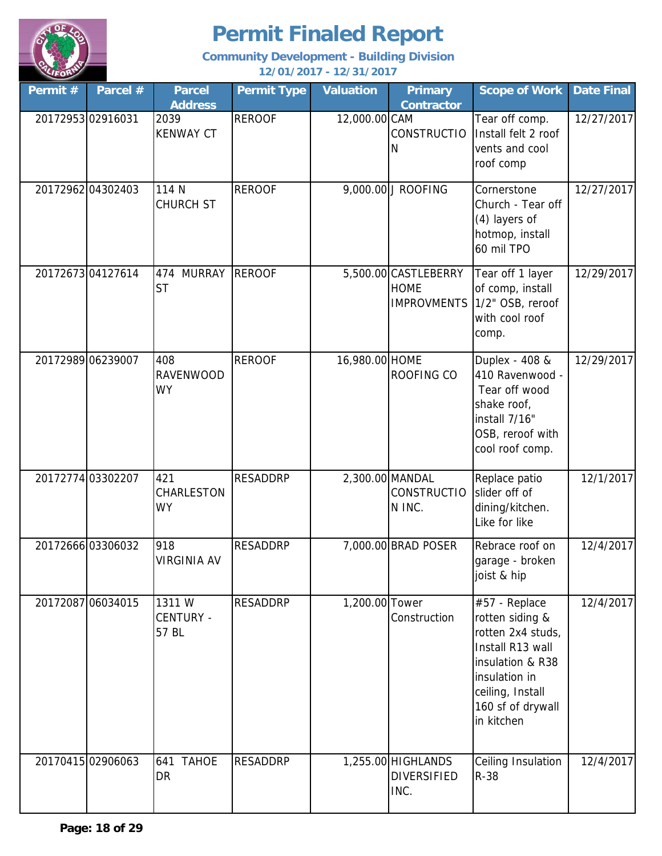

| Permit # | Parcel #          | <b>Parcel</b><br><b>Address</b>      | <b>Permit Type</b> | <b>Valuation</b> | <b>Primary</b><br><b>Contractor</b>                       | <b>Scope of Work</b>                                                                                                                                                  | <b>Date Final</b> |
|----------|-------------------|--------------------------------------|--------------------|------------------|-----------------------------------------------------------|-----------------------------------------------------------------------------------------------------------------------------------------------------------------------|-------------------|
|          | 20172953 02916031 | 2039<br><b>KENWAY CT</b>             | <b>REROOF</b>      | 12,000.00 CAM    | <b>CONSTRUCTIO</b><br>N                                   | Tear off comp.<br>Install felt 2 roof<br>vents and cool<br>roof comp                                                                                                  | 12/27/2017        |
|          | 20172962 04302403 | 114 N<br><b>CHURCH ST</b>            | <b>REROOF</b>      |                  | 9,000.00 J ROOFING                                        | Cornerstone<br>Church - Tear off<br>(4) layers of<br>hotmop, install<br>60 mil TPO                                                                                    | 12/27/2017        |
|          | 2017267304127614  | <b>MURRAY</b><br>474<br><b>ST</b>    | <b>REROOF</b>      |                  | 5,500.00 CASTLEBERRY<br><b>HOME</b><br><b>IMPROVMENTS</b> | Tear off 1 layer<br>of comp, install<br>1/2" OSB, reroof<br>with cool roof<br>comp.                                                                                   | 12/29/2017        |
|          | 20172989 06239007 | 408<br><b>RAVENWOOD</b><br><b>WY</b> | <b>REROOF</b>      | 16,980.00 HOME   | ROOFING CO                                                | Duplex - 408 &<br>410 Ravenwood -<br>Tear off wood<br>shake roof,<br>install 7/16"<br>OSB, reroof with<br>cool roof comp.                                             | 12/29/2017        |
|          | 20172774 03302207 | 421<br>CHARLESTON<br><b>WY</b>       | <b>RESADDRP</b>    |                  | 2,300.00 MANDAL<br><b>CONSTRUCTIO</b><br>N INC.           | Replace patio<br>slider off of<br>dining/kitchen.<br>Like for like                                                                                                    | 12/1/2017         |
|          | 20172666 03306032 | 918<br><b>VIRGINIA AV</b>            | <b>RESADDRP</b>    |                  | 7,000.00 BRAD POSER                                       | Rebrace roof on<br>garage - broken<br>joist & hip                                                                                                                     | 12/4/2017         |
|          | 20172087 06034015 | 1311W<br><b>CENTURY -</b><br>57 BL   | <b>RESADDRP</b>    | 1,200.00 Tower   | Construction                                              | #57 - Replace<br>rotten siding &<br>rotten 2x4 studs,<br>Install R13 wall<br>insulation & R38<br>insulation in<br>ceiling, Install<br>160 sf of drywall<br>in kitchen | 12/4/2017         |
|          | 20170415 02906063 | <b>TAHOE</b><br>641<br>DR            | <b>RESADDRP</b>    |                  | 1,255.00 HIGHLANDS<br><b>DIVERSIFIED</b><br>INC.          | Ceiling Insulation<br>$R-38$                                                                                                                                          | 12/4/2017         |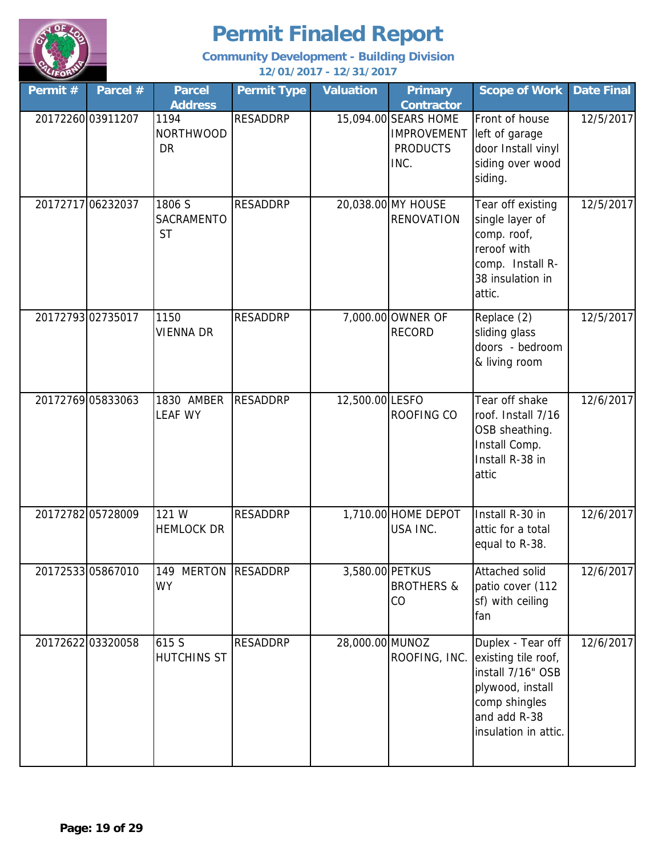

| Permit # | Parcel #          | <b>Parcel</b><br><b>Address</b>       | <b>Permit Type</b> | <b>Valuation</b> | <b>Primary</b><br><b>Contractor</b>                                   | <b>Scope of Work</b>                                                                                                                       | <b>Date Final</b> |
|----------|-------------------|---------------------------------------|--------------------|------------------|-----------------------------------------------------------------------|--------------------------------------------------------------------------------------------------------------------------------------------|-------------------|
|          | 2017226003911207  | 1194<br><b>NORTHWOOD</b><br><b>DR</b> | <b>RESADDRP</b>    |                  | 15,094.00 SEARS HOME<br><b>IMPROVEMENT</b><br><b>PRODUCTS</b><br>INC. | Front of house<br>left of garage<br>door Install vinyl<br>siding over wood<br>siding.                                                      | 12/5/2017         |
|          | 20172717 06232037 | 1806 S<br>SACRAMENTO<br><b>ST</b>     | <b>RESADDRP</b>    |                  | 20,038.00 MY HOUSE<br><b>RENOVATION</b>                               | Tear off existing<br>single layer of<br>comp. roof,<br>reroof with<br>comp. Install R-<br>38 insulation in<br>attic.                       | 12/5/2017         |
|          | 20172793 02735017 | 1150<br><b>VIENNA DR</b>              | <b>RESADDRP</b>    |                  | 7,000.00 OWNER OF<br><b>RECORD</b>                                    | Replace (2)<br>sliding glass<br>doors - bedroom<br>& living room                                                                           | 12/5/2017         |
|          | 20172769 05833063 | 1830 AMBER<br><b>LEAF WY</b>          | <b>RESADDRP</b>    | 12,500.00 LESFO  | ROOFING CO                                                            | Tear off shake<br>roof. Install 7/16<br>OSB sheathing.<br>Install Comp.<br>Install R-38 in<br>attic                                        | 12/6/2017         |
|          | 20172782 05728009 | 121 W<br><b>HEMLOCK DR</b>            | <b>RESADDRP</b>    |                  | 1,710.00 HOME DEPOT<br>USA INC.                                       | Install R-30 in<br>attic for a total<br>equal to R-38.                                                                                     | 12/6/2017         |
|          | 20172533 05867010 | 149 MERTON RESADDRP<br>WY             |                    | 3,580.00 PETKUS  | <b>BROTHERS &amp;</b><br>CO                                           | Attached solid<br>patio cover (112<br>sf) with ceiling<br>fan                                                                              | 12/6/2017         |
|          | 20172622 03320058 | 615 S<br><b>HUTCHINS ST</b>           | <b>RESADDRP</b>    | 28,000.00 MUNOZ  | ROOFING, INC.                                                         | Duplex - Tear off<br>existing tile roof,<br>install 7/16" OSB<br>plywood, install<br>comp shingles<br>and add R-38<br>insulation in attic. | 12/6/2017         |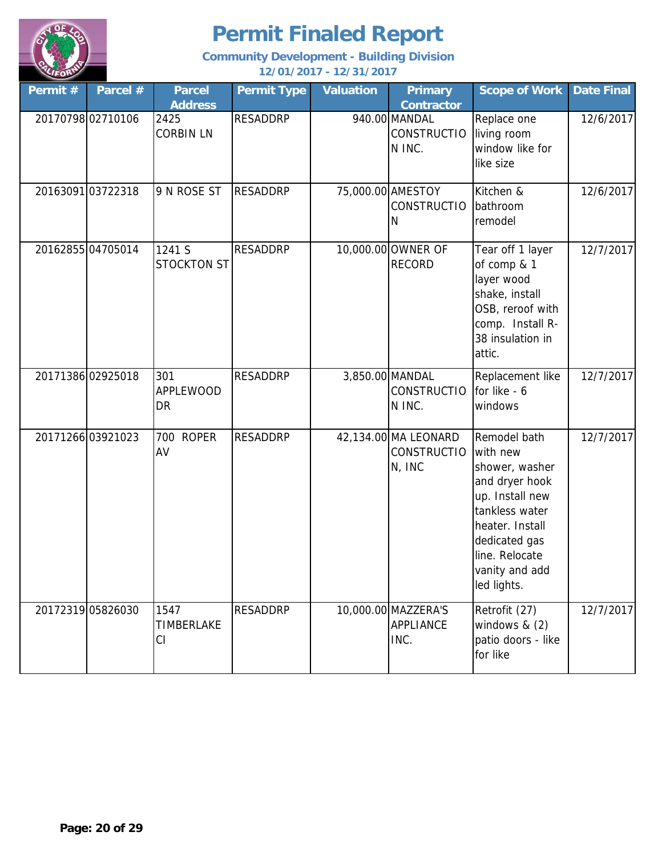

| Permit # | Parcel #          | <b>Parcel</b><br><b>Address</b> | <b>Permit Type</b> | <b>Valuation</b> | <b>Primary</b><br>Contractor                         | <b>Scope of Work</b>                                                                                                                                                                     | <b>Date Final</b> |
|----------|-------------------|---------------------------------|--------------------|------------------|------------------------------------------------------|------------------------------------------------------------------------------------------------------------------------------------------------------------------------------------------|-------------------|
|          | 2017079802710106  | 2425<br><b>CORBIN LN</b>        | <b>RESADDRP</b>    |                  | 940.00 MANDAL<br><b>CONSTRUCTIO</b><br>N INC.        | Replace one<br>living room<br>window like for<br>like size                                                                                                                               | 12/6/2017         |
|          | 20163091 03722318 | 9 N ROSE ST                     | <b>RESADDRP</b>    |                  | 75,000.00 AMESTOY<br><b>CONSTRUCTIO</b><br>N         | Kitchen &<br>bathroom<br>remodel                                                                                                                                                         | 12/6/2017         |
|          | 2016285504705014  | 1241 S<br>STOCKTON ST           | <b>RESADDRP</b>    |                  | 10,000.00 OWNER OF<br><b>RECORD</b>                  | Tear off 1 layer<br>of comp & 1<br>layer wood<br>shake, install<br>OSB, reroof with<br>comp. Install R-<br>38 insulation in<br>attic.                                                    | 12/7/2017         |
|          | 20171386 02925018 | 301<br><b>APPLEWOOD</b><br>DR   | <b>RESADDRP</b>    |                  | 3,850.00 MANDAL<br><b>CONSTRUCTIO</b><br>N INC.      | Replacement like<br>for like - 6<br>windows                                                                                                                                              | 12/7/2017         |
|          | 20171266 03921023 | 700 ROPER<br>AV                 | <b>RESADDRP</b>    |                  | 42,134.00 MA LEONARD<br><b>CONSTRUCTIO</b><br>N, INC | Remodel bath<br>with new<br>shower, washer<br>and dryer hook<br>up. Install new<br>tankless water<br>heater. Install<br>dedicated gas<br>line. Relocate<br>vanity and add<br>led lights. | 12/7/2017         |
|          | 20172319 05826030 | 1547<br><b>TIMBERLAKE</b><br>CI | <b>RESADDRP</b>    |                  | 10,000.00 MAZZERA'S<br><b>APPLIANCE</b><br>INC.      | Retrofit (27)<br>windows $& (2)$<br>patio doors - like<br>for like                                                                                                                       | 12/7/2017         |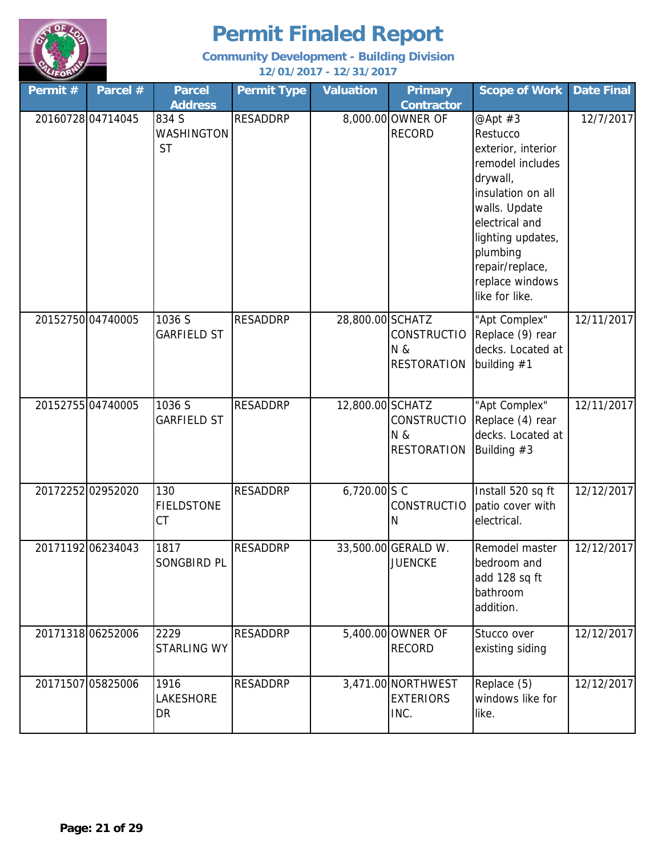

| Permit#           | Parcel #          | <b>Parcel</b><br><b>Address</b>         | <b>Permit Type</b> | <b>Valuation</b>          | <b>Primary</b><br><b>Contractor</b>             | <b>Scope of Work</b>                                                                                                                                                                                                       | <b>Date Final</b> |
|-------------------|-------------------|-----------------------------------------|--------------------|---------------------------|-------------------------------------------------|----------------------------------------------------------------------------------------------------------------------------------------------------------------------------------------------------------------------------|-------------------|
|                   | 2016072804714045  | 834 S<br><b>WASHINGTON</b><br><b>ST</b> | <b>RESADDRP</b>    |                           | 8,000.00 OWNER OF<br><b>RECORD</b>              | @Apt #3<br>Restucco<br>exterior, interior<br>remodel includes<br>drywall,<br>insulation on all<br>walls. Update<br>electrical and<br>lighting updates,<br>plumbing<br>repair/replace,<br>replace windows<br>like for like. | 12/7/2017         |
|                   | 20152750 04740005 | 1036 S<br><b>GARFIELD ST</b>            | <b>RESADDRP</b>    | 28,800.00 SCHATZ          | <b>CONSTRUCTIO</b><br>N &<br><b>RESTORATION</b> | "Apt Complex"<br>Replace (9) rear<br>decks. Located at<br>building $#1$                                                                                                                                                    | 12/11/2017        |
| 20152755 04740005 |                   | 1036 S<br><b>GARFIELD ST</b>            | <b>RESADDRP</b>    | 12,800.00 SCHATZ          | <b>CONSTRUCTIO</b><br>N &<br><b>RESTORATION</b> | "Apt Complex"<br>Replace (4) rear<br>decks. Located at<br>Building $#3$                                                                                                                                                    | 12/11/2017        |
|                   | 2017225202952020  | 130<br><b>FIELDSTONE</b><br>CT          | <b>RESADDRP</b>    | 6,720.00 $S \overline{C}$ | <b>CONSTRUCTIO</b><br>N                         | Install 520 sq ft<br>patio cover with<br>electrical.                                                                                                                                                                       | 12/12/2017        |
|                   | 2017119206234043  | 1817<br><b>SONGBIRD PL</b>              | <b>RESADDRP</b>    |                           | 33,500.00 GERALD W.<br><b>JUENCKE</b>           | Remodel master<br>bedroom and<br>add 128 sq ft<br>bathroom<br>addition.                                                                                                                                                    | 12/12/2017        |
|                   | 20171318 06252006 | 2229<br><b>STARLING WY</b>              | <b>RESADDRP</b>    |                           | 5,400.00 OWNER OF<br><b>RECORD</b>              | Stucco over<br>existing siding                                                                                                                                                                                             | 12/12/2017        |
|                   | 20171507 05825006 | 1916<br>LAKESHORE<br>DR                 | <b>RESADDRP</b>    |                           | 3,471.00 NORTHWEST<br><b>EXTERIORS</b><br>INC.  | Replace (5)<br>windows like for<br>like.                                                                                                                                                                                   | 12/12/2017        |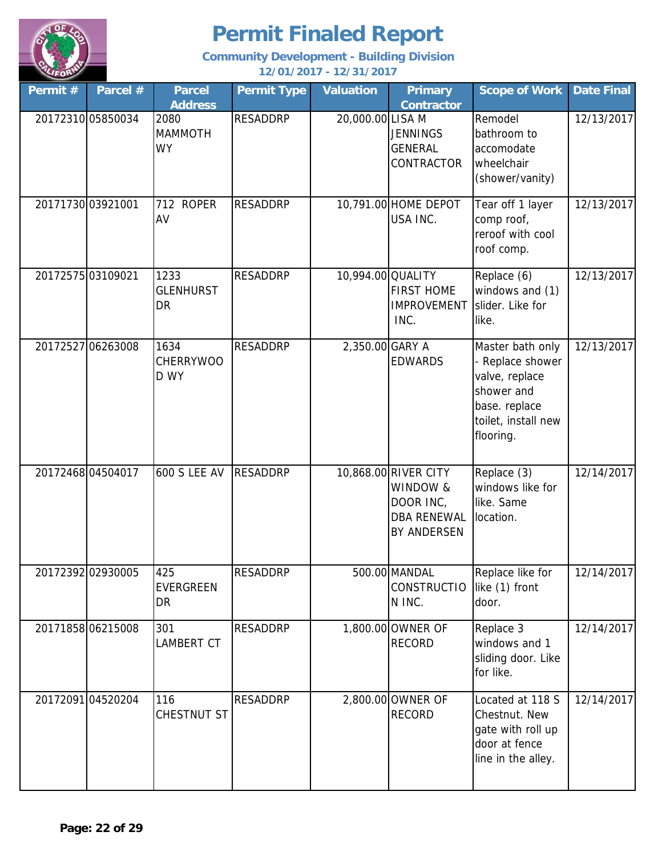

| Permit #          | Parcel #          | <b>Parcel</b><br><b>Address</b>  | <b>Permit Type</b> | <b>Valuation</b>  | <b>Primary</b><br><b>Contractor</b>                                                       | <b>Scope of Work</b>                                                                                                    | <b>Date Final</b> |
|-------------------|-------------------|----------------------------------|--------------------|-------------------|-------------------------------------------------------------------------------------------|-------------------------------------------------------------------------------------------------------------------------|-------------------|
|                   | 20172310 05850034 | 2080<br><b>MAMMOTH</b><br>WY     | <b>RESADDRP</b>    | 20,000.00 LISA M  | <b>JENNINGS</b><br><b>GENERAL</b><br>CONTRACTOR                                           | Remodel<br>bathroom to<br>accomodate<br>wheelchair<br>(shower/vanity)                                                   | 12/13/2017        |
|                   | 20171730 03921001 | 712 ROPER<br>AV                  | <b>RESADDRP</b>    |                   | 10,791.00 HOME DEPOT<br>USA INC.                                                          | Tear off 1 layer<br>comp roof,<br>reroof with cool<br>roof comp.                                                        | 12/13/2017        |
| 20172575 03109021 |                   | 1233<br><b>GLENHURST</b><br>DR   | <b>RESADDRP</b>    | 10,994.00 QUALITY | <b>FIRST HOME</b><br>IMPROVEMENT slider. Like for<br>INC.                                 | Replace (6)<br>windows and (1)<br>like.                                                                                 | 12/13/2017        |
|                   | 20172527 06263008 | 1634<br><b>CHERRYWOO</b><br>D WY | <b>RESADDRP</b>    | 2,350.00 GARY A   | <b>EDWARDS</b>                                                                            | Master bath only<br>Replace shower<br>valve, replace<br>shower and<br>base. replace<br>toilet, install new<br>flooring. | 12/13/2017        |
|                   | 2017246804504017  | <b>600 S LEE AV</b>              | <b>RESADDRP</b>    |                   | 10,868.00 RIVER CITY<br>WINDOW &<br>DOOR INC,<br><b>DBA RENEWAL</b><br><b>BY ANDERSEN</b> | Replace (3)<br>windows like for<br>like. Same<br>location.                                                              | 12/14/2017        |
|                   | 20172392 02930005 | 425<br><b>EVERGREEN</b><br>DR    | <b>RESADDRP</b>    |                   | 500.00 MANDAL<br><b>CONSTRUCTIO</b><br>N INC.                                             | Replace like for<br>like (1) front<br>door.                                                                             | 12/14/2017        |
|                   | 2017185806215008  | 301<br><b>LAMBERT CT</b>         | <b>RESADDRP</b>    |                   | 1,800.00 OWNER OF<br><b>RECORD</b>                                                        | Replace 3<br>windows and 1<br>sliding door. Like<br>for like.                                                           | 12/14/2017        |
|                   | 2017209104520204  | 116<br>CHESTNUT ST               | <b>RESADDRP</b>    |                   | 2,800.00 OWNER OF<br><b>RECORD</b>                                                        | Located at 118 S<br>Chestnut. New<br>gate with roll up<br>door at fence<br>line in the alley.                           | 12/14/2017        |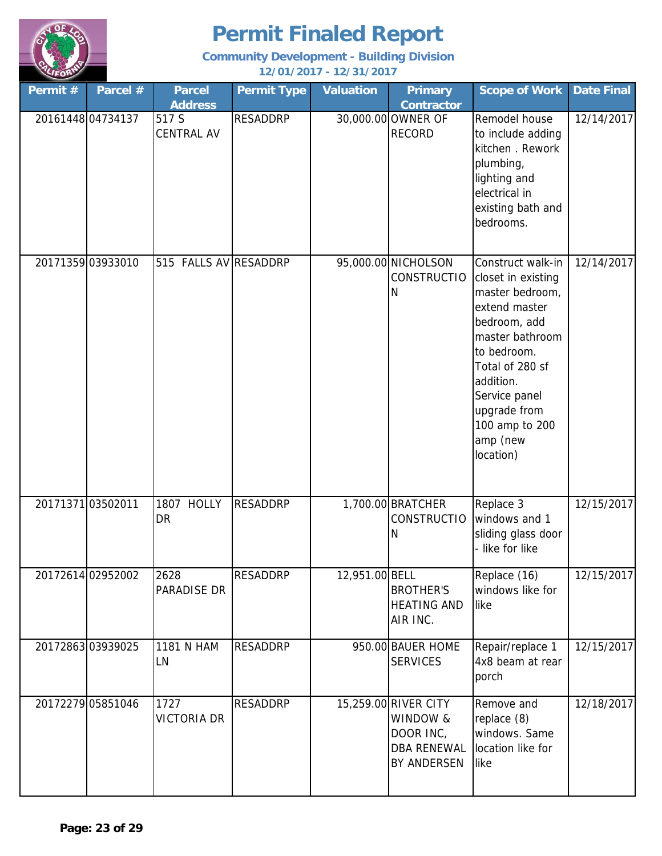

| Permit #          | Parcel #          | <b>Parcel</b><br><b>Address</b> | <b>Permit Type</b> | <b>Valuation</b> | <b>Primary</b><br><b>Contractor</b>                                                | <b>Scope of Work</b>                                                                                                                                                                                                                      | <b>Date Final</b> |
|-------------------|-------------------|---------------------------------|--------------------|------------------|------------------------------------------------------------------------------------|-------------------------------------------------------------------------------------------------------------------------------------------------------------------------------------------------------------------------------------------|-------------------|
| 20161448 04734137 |                   | 517 S<br><b>CENTRAL AV</b>      | <b>RESADDRP</b>    |                  | 30,000.00 OWNER OF<br><b>RECORD</b>                                                | Remodel house<br>to include adding<br>kitchen . Rework<br>plumbing,<br>lighting and<br>electrical in<br>existing bath and<br>bedrooms.                                                                                                    | 12/14/2017        |
| 20171359 03933010 |                   | 515 FALLS AV RESADDRP           |                    |                  | 95,000.00 NICHOLSON<br><b>CONSTRUCTIO</b><br>Ν                                     | Construct walk-in<br>closet in existing<br>master bedroom,<br>extend master<br>bedroom, add<br>master bathroom<br>to bedroom.<br>Total of 280 sf<br>addition.<br>Service panel<br>upgrade from<br>100 amp to 200<br>amp (new<br>location) | 12/14/2017        |
| 2017137103502011  |                   | 1807 HOLLY<br>DR                | <b>RESADDRP</b>    |                  | 1,700.00 BRATCHER<br><b>CONSTRUCTIO</b><br>N                                       | Replace 3<br>windows and 1<br>sliding glass door<br>- like for like                                                                                                                                                                       | 12/15/2017        |
|                   | 20172614 02952002 | 2628<br>PARADISE DR             | <b>RESADDRP</b>    | 12,951.00 BELL   | <b>BROTHER'S</b><br><b>HEATING AND</b><br>AIR INC.                                 | Replace (16)<br>windows like for<br>like                                                                                                                                                                                                  | 12/15/2017        |
|                   | 2017286303939025  | 1181 N HAM<br>LN                | <b>RESADDRP</b>    |                  | 950.00 BAUER HOME<br><b>SERVICES</b>                                               | Repair/replace 1<br>4x8 beam at rear<br>porch                                                                                                                                                                                             | 12/15/2017        |
|                   | 20172279 05851046 | 1727<br><b>VICTORIA DR</b>      | RESADDRP           |                  | 15,259.00 RIVER CITY<br>WINDOW &<br>DOOR INC,<br><b>DBA RENEWAL</b><br>BY ANDERSEN | Remove and<br>replace (8)<br>windows. Same<br>location like for<br>like                                                                                                                                                                   | 12/18/2017        |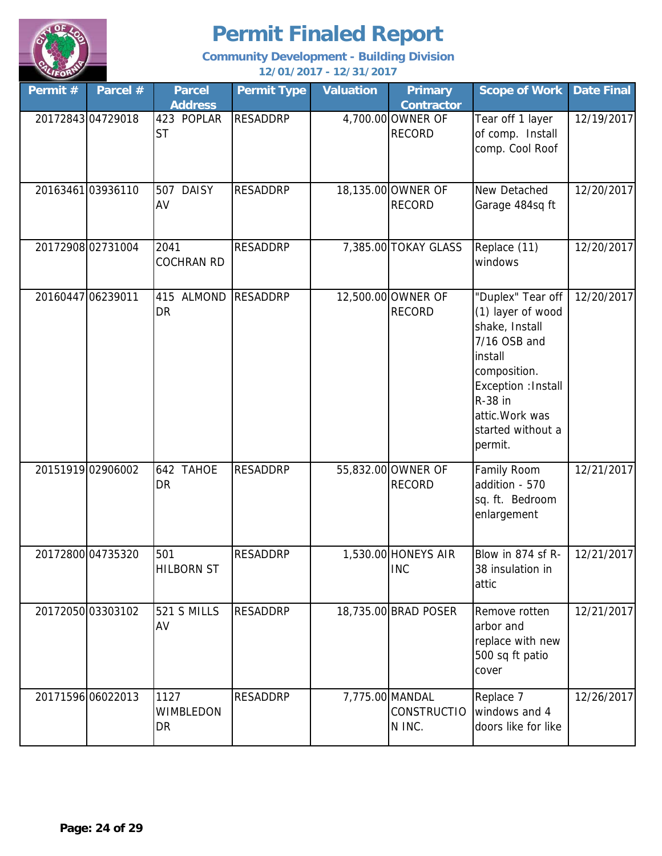

| Permit # | Parcel #          | <b>Parcel</b><br><b>Address</b> | <b>Permit Type</b> | <b>Valuation</b> | <b>Primary</b><br><b>Contractor</b>             | <b>Scope of Work</b>                                                                                                                                                                     | <b>Date Final</b> |
|----------|-------------------|---------------------------------|--------------------|------------------|-------------------------------------------------|------------------------------------------------------------------------------------------------------------------------------------------------------------------------------------------|-------------------|
|          | 20172843 04729018 | 423 POPLAR<br><b>ST</b>         | <b>RESADDRP</b>    |                  | 4,700.00 OWNER OF<br><b>RECORD</b>              | Tear off 1 layer<br>of comp. Install<br>comp. Cool Roof                                                                                                                                  | 12/19/2017        |
|          | 20163461 03936110 | 507 DAISY<br>AV                 | <b>RESADDRP</b>    |                  | 18,135.00 OWNER OF<br><b>RECORD</b>             | New Detached<br>Garage 484sq ft                                                                                                                                                          | 12/20/2017        |
|          | 2017290802731004  | 2041<br><b>COCHRAN RD</b>       | <b>RESADDRP</b>    |                  | 7,385.00 TOKAY GLASS                            | Replace (11)<br>windows                                                                                                                                                                  | 12/20/2017        |
|          | 20160447 06239011 | 415 ALMOND<br><b>DR</b>         | <b>RESADDRP</b>    |                  | 12,500.00 OWNER OF<br><b>RECORD</b>             | "Duplex" Tear off<br>(1) layer of wood<br>shake, Install<br>7/16 OSB and<br>install<br>composition.<br>Exception : Install<br>R-38 in<br>attic. Work was<br>started without a<br>permit. | 12/20/2017        |
|          | 20151919 02906002 | 642 TAHOE<br>DR                 | <b>RESADDRP</b>    |                  | 55,832.00 OWNER OF<br><b>RECORD</b>             | Family Room<br>addition - 570<br>sq. ft. Bedroom<br>enlargement                                                                                                                          | 12/21/2017        |
|          | 20172800 04735320 | 501<br><b>HILBORN ST</b>        | <b>RESADDRP</b>    |                  | 1,530.00 HONEYS AIR<br><b>INC</b>               | Blow in 874 sf R-<br>38 insulation in<br>attic                                                                                                                                           | 12/21/2017        |
|          | 20172050 03303102 | 521 S MILLS<br>AV               | <b>RESADDRP</b>    |                  | 18,735.00 BRAD POSER                            | Remove rotten<br>arbor and<br>replace with new<br>500 sq ft patio<br>cover                                                                                                               | 12/21/2017        |
|          | 20171596 06022013 | 1127<br>WIMBLEDON<br>DR         | <b>RESADDRP</b>    |                  | 7,775.00 MANDAL<br><b>CONSTRUCTIO</b><br>N INC. | Replace 7<br>windows and 4<br>doors like for like                                                                                                                                        | 12/26/2017        |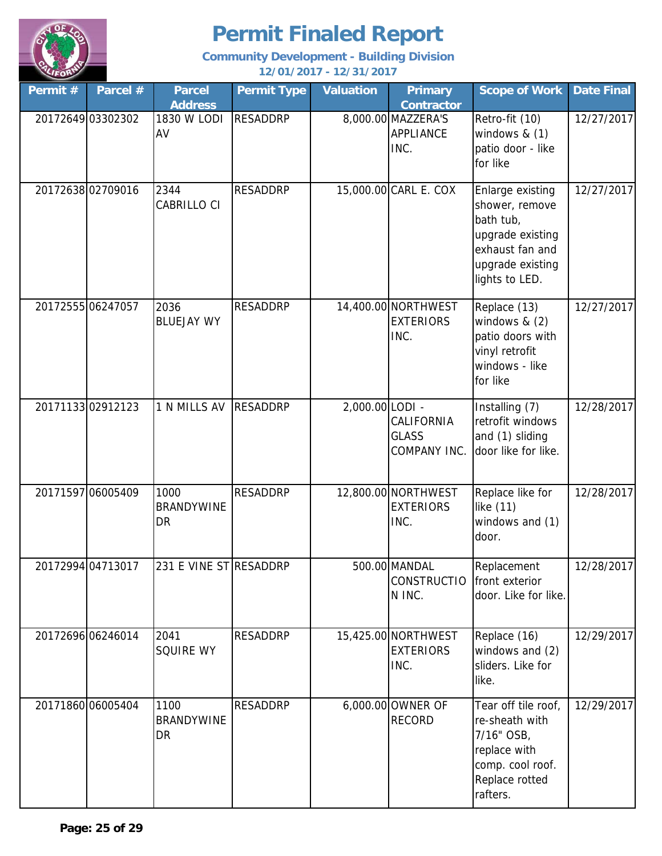

| Permit# | Parcel #          | <b>Parcel</b><br><b>Address</b>        | <b>Permit Type</b> | <b>Valuation</b> | <b>Primary</b><br><b>Contractor</b>             | <b>Scope of Work</b>                                                                                                         | <b>Date Final</b> |
|---------|-------------------|----------------------------------------|--------------------|------------------|-------------------------------------------------|------------------------------------------------------------------------------------------------------------------------------|-------------------|
|         | 20172649 03302302 | 1830 W LODI<br>AV                      | <b>RESADDRP</b>    |                  | 8,000.00 MAZZERA'S<br><b>APPLIANCE</b><br>INC.  | Retro-fit (10)<br>windows $& (1)$<br>patio door - like<br>for like                                                           | 12/27/2017        |
|         | 20172638 02709016 | 2344<br>CABRILLO CI                    | <b>RESADDRP</b>    |                  | 15,000.00 CARL E. COX                           | Enlarge existing<br>shower, remove<br>bath tub,<br>upgrade existing<br>exhaust fan and<br>upgrade existing<br>lights to LED. | 12/27/2017        |
|         | 2017255506247057  | 2036<br><b>BLUEJAY WY</b>              | <b>RESADDRP</b>    |                  | 14,400.00 NORTHWEST<br><b>EXTERIORS</b><br>INC. | Replace (13)<br>windows $& (2)$<br>patio doors with<br>vinyl retrofit<br>windows - like<br>for like                          | 12/27/2017        |
|         | 2017113302912123  | 1 N MILLS AV                           | <b>RESADDRP</b>    | 2,000.00 LODI -  | CALIFORNIA<br><b>GLASS</b><br>COMPANY INC.      | Installing (7)<br>retrofit windows<br>and (1) sliding<br>door like for like.                                                 | 12/28/2017        |
|         | 20171597 06005409 | 1000<br><b>BRANDYWINE</b><br><b>DR</b> | <b>RESADDRP</b>    |                  | 12,800.00 NORTHWEST<br><b>EXTERIORS</b><br>INC. | Replace like for<br>like (11)<br>windows and (1)<br>door.                                                                    | 12/28/2017        |
|         | 20172994 04713017 | 231 E VINE STRESADDRP                  |                    |                  | 500.00 MANDAL<br><b>CONSTRUCTIO</b><br>N INC.   | Replacement<br>front exterior<br>door. Like for like.                                                                        | 12/28/2017        |
|         | 20172696 06246014 | 2041<br><b>SQUIRE WY</b>               | <b>RESADDRP</b>    |                  | 15,425.00 NORTHWEST<br><b>EXTERIORS</b><br>INC. | Replace (16)<br>windows and (2)<br>sliders. Like for<br>like.                                                                | 12/29/2017        |
|         | 20171860 06005404 | 1100<br><b>BRANDYWINE</b><br><b>DR</b> | <b>RESADDRP</b>    |                  | 6,000.00 OWNER OF<br><b>RECORD</b>              | Tear off tile roof,<br>re-sheath with<br>7/16" OSB,<br>replace with<br>comp. cool roof.<br>Replace rotted<br>rafters.        | 12/29/2017        |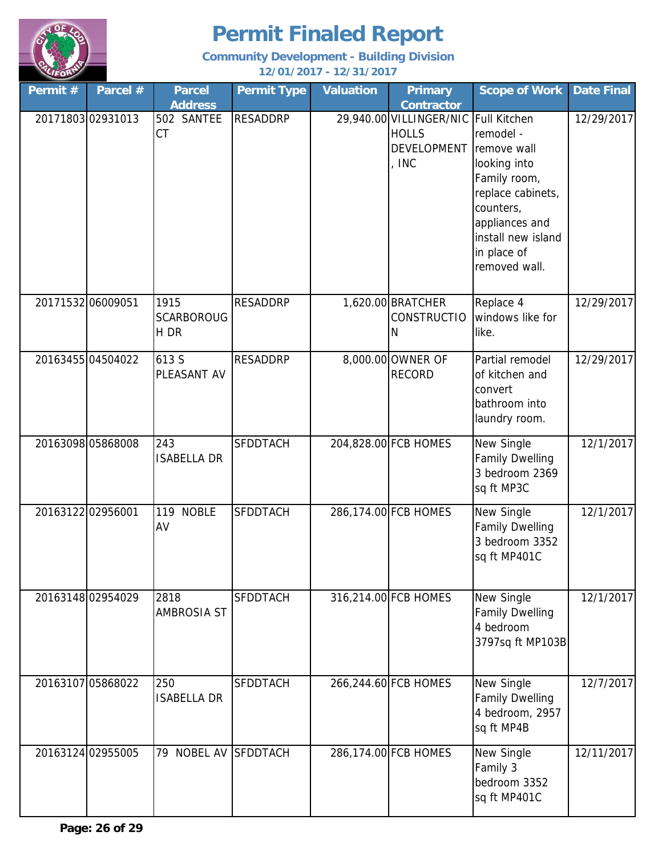

| Permit #          | Parcel #          | <b>Parcel</b><br><b>Address</b>   | <b>Permit Type</b> | <b>Valuation</b> | <b>Primary</b><br><b>Contractor</b>                                                   | <b>Scope of Work</b>                                                                                                                                               | <b>Date Final</b> |
|-------------------|-------------------|-----------------------------------|--------------------|------------------|---------------------------------------------------------------------------------------|--------------------------------------------------------------------------------------------------------------------------------------------------------------------|-------------------|
|                   | 20171803 02931013 | 502 SANTEE<br><b>CT</b>           | <b>RESADDRP</b>    |                  | 29,940.00 VILLINGER/NIC Full Kitchen<br><b>HOLLS</b><br><b>DEVELOPMENT</b><br>$,$ INC | remodel -<br>remove wall<br>looking into<br>Family room,<br>replace cabinets,<br>counters,<br>appliances and<br>install new island<br>in place of<br>removed wall. | 12/29/2017        |
| 20171532 06009051 |                   | 1915<br><b>SCARBOROUG</b><br>H DR | <b>RESADDRP</b>    |                  | 1,620.00 BRATCHER<br><b>CONSTRUCTIO</b><br>Ν                                          | Replace 4<br>windows like for<br>like.                                                                                                                             | 12/29/2017        |
|                   | 2016345504504022  | 613 S<br>PLEASANT AV              | <b>RESADDRP</b>    |                  | 8,000.00 OWNER OF<br><b>RECORD</b>                                                    | Partial remodel<br>of kitchen and<br>convert<br>bathroom into<br>laundry room.                                                                                     | 12/29/2017        |
|                   | 20163098 05868008 | 243<br><b>ISABELLA DR</b>         | <b>SFDDTACH</b>    |                  | 204,828.00 FCB HOMES                                                                  | New Single<br><b>Family Dwelling</b><br>3 bedroom 2369<br>sq ft MP3C                                                                                               | 12/1/2017         |
| 20163122 02956001 |                   | <b>NOBLE</b><br>119<br>AV         | <b>SFDDTACH</b>    |                  | 286,174.00 FCB HOMES                                                                  | New Single<br><b>Family Dwelling</b><br>3 bedroom 3352<br>sq ft MP401C                                                                                             | 12/1/2017         |
|                   | 2016314802954029  | 2818<br><b>AMBROSIA ST</b>        | <b>SFDDTACH</b>    |                  | 316,214.00 FCB HOMES                                                                  | New Single<br><b>Family Dwelling</b><br>4 bedroom<br>3797sq ft MP103B                                                                                              | 12/1/2017         |
|                   | 20163107 05868022 | 250<br><b>ISABELLA DR</b>         | <b>SFDDTACH</b>    |                  | 266,244.60 FCB HOMES                                                                  | New Single<br><b>Family Dwelling</b><br>4 bedroom, 2957<br>sq ft MP4B                                                                                              | 12/7/2017         |
|                   | 20163124 02955005 | 79                                | NOBEL AV SFDDTACH  |                  | 286,174.00 FCB HOMES                                                                  | New Single<br>Family 3<br>bedroom 3352<br>sq ft MP401C                                                                                                             | 12/11/2017        |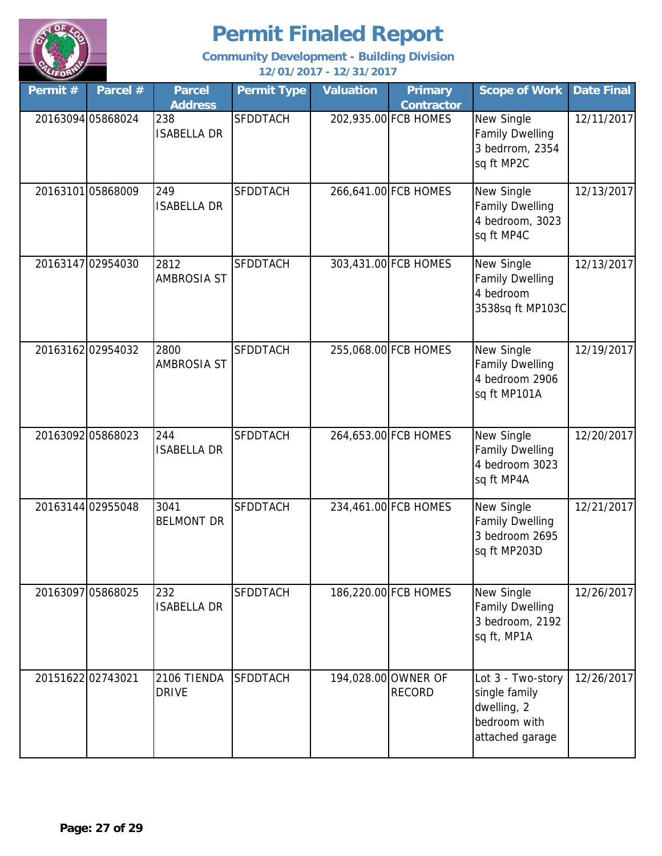

| Permit # | Parcel #          | <b>Parcel</b><br><b>Address</b> | <b>Permit Type</b> | <b>Valuation</b> | <b>Primary</b><br><b>Contractor</b>  | <b>Scope of Work</b>                                                                 | <b>Date Final</b> |
|----------|-------------------|---------------------------------|--------------------|------------------|--------------------------------------|--------------------------------------------------------------------------------------|-------------------|
|          | 20163094 05868024 | 238<br><b>ISABELLA DR</b>       | <b>SFDDTACH</b>    |                  | 202,935.00 FCB HOMES                 | New Single<br><b>Family Dwelling</b><br>3 bedrrom, 2354<br>sq ft MP2C                | 12/11/2017        |
|          | 20163101 05868009 | 249<br><b>ISABELLA DR</b>       | <b>SFDDTACH</b>    |                  | 266,641.00 FCB HOMES                 | New Single<br><b>Family Dwelling</b><br>4 bedroom, 3023<br>sq ft MP4C                | 12/13/2017        |
|          | 20163147 02954030 | 2812<br><b>AMBROSIA ST</b>      | <b>SFDDTACH</b>    |                  | 303,431.00 FCB HOMES                 | New Single<br><b>Family Dwelling</b><br>4 bedroom<br>3538sq ft MP103C                | 12/13/2017        |
|          | 2016316202954032  | 2800<br><b>AMBROSIA ST</b>      | <b>SFDDTACH</b>    |                  | 255,068.00 FCB HOMES                 | New Single<br><b>Family Dwelling</b><br>4 bedroom 2906<br>sq ft MP101A               | 12/19/2017        |
|          | 20163092 05868023 | 244<br><b>ISABELLA DR</b>       | <b>SFDDTACH</b>    |                  | 264,653.00 FCB HOMES                 | New Single<br><b>Family Dwelling</b><br>4 bedroom 3023<br>sq ft MP4A                 | 12/20/2017        |
|          | 20163144 02955048 | 3041<br><b>BELMONT DR</b>       | <b>SFDDTACH</b>    |                  | 234,461.00 FCB HOMES                 | New Single<br><b>Family Dwelling</b><br>3 bedroom 2695<br>sq ft MP203D               | 12/21/2017        |
|          | 20163097 05868025 | 232<br><b>ISABELLA DR</b>       | <b>SFDDTACH</b>    |                  | 186,220.00 FCB HOMES                 | New Single<br><b>Family Dwelling</b><br>3 bedroom, 2192<br>sq ft, MP1A               | 12/26/2017        |
|          | 2015162202743021  | 2106 TIENDA<br><b>DRIVE</b>     | <b>SFDDTACH</b>    |                  | 194,028.00 OWNER OF<br><b>RECORD</b> | Lot 3 - Two-story<br>single family<br>dwelling, 2<br>bedroom with<br>attached garage | 12/26/2017        |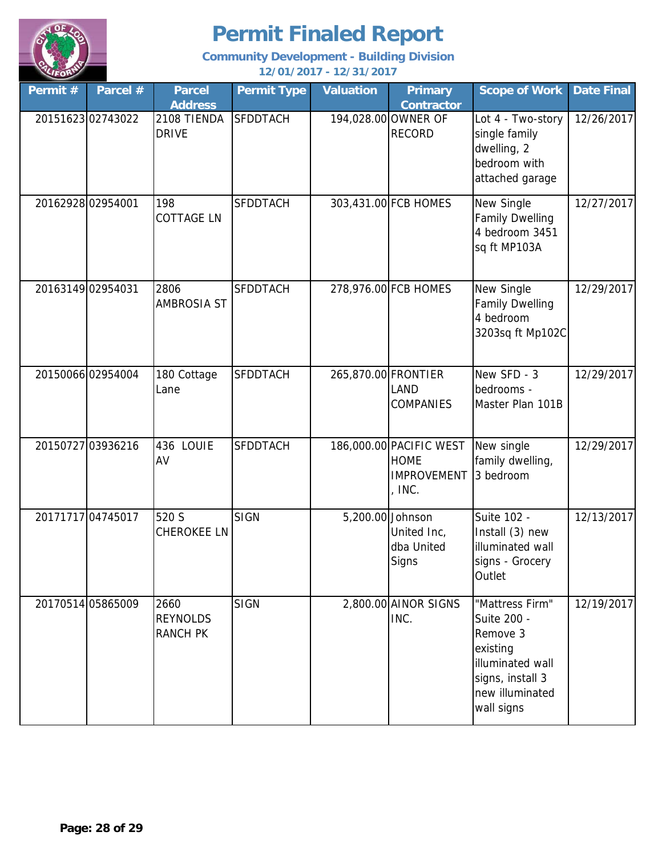

| Permit # | Parcel #          | <b>Parcel</b><br><b>Address</b>            | <b>Permit Type</b> | <b>Valuation</b>    | <b>Primary</b><br><b>Contractor</b>                                    | <b>Scope of Work</b>                                                                                                            | <b>Date Final</b> |
|----------|-------------------|--------------------------------------------|--------------------|---------------------|------------------------------------------------------------------------|---------------------------------------------------------------------------------------------------------------------------------|-------------------|
|          | 20151623 02743022 | 2108 TIENDA<br><b>DRIVE</b>                | <b>SFDDTACH</b>    |                     | 194,028.00 OWNER OF<br><b>RECORD</b>                                   | Lot 4 - Two-story<br>single family<br>dwelling, 2<br>bedroom with<br>attached garage                                            | 12/26/2017        |
|          | 20162928 02954001 | 198<br><b>COTTAGE LN</b>                   | <b>SFDDTACH</b>    |                     | 303,431.00 FCB HOMES                                                   | New Single<br><b>Family Dwelling</b><br>4 bedroom 3451<br>sq ft MP103A                                                          | 12/27/2017        |
|          | 20163149 02954031 | 2806<br><b>AMBROSIA ST</b>                 | <b>SFDDTACH</b>    |                     | 278,976.00 FCB HOMES                                                   | New Single<br><b>Family Dwelling</b><br>4 bedroom<br>3203sq ft Mp102C                                                           | 12/29/2017        |
|          | 20150066 02954004 | 180 Cottage<br>Lane                        | <b>SFDDTACH</b>    | 265,870.00 FRONTIER | LAND<br><b>COMPANIES</b>                                               | New SFD - 3<br>bedrooms -<br>Master Plan 101B                                                                                   | 12/29/2017        |
|          | 20150727 03936216 | 436 LOUIE<br>AV                            | <b>SFDDTACH</b>    |                     | 186,000.00 PACIFIC WEST<br><b>HOME</b><br><b>IMPROVEMENT</b><br>, INC. | New single<br>family dwelling,<br>3 bedroom                                                                                     | 12/29/2017        |
|          | 20171717 04745017 | 520 S<br><b>CHEROKEE LN</b>                | <b>SIGN</b>        | 5,200.00 Johnson    | United Inc,<br>dba United<br>Signs                                     | Suite 102 -<br>Install (3) new<br>illuminated wall<br>signs - Grocery<br>Outlet                                                 | 12/13/2017        |
|          | 20170514 05865009 | 2660<br><b>REYNOLDS</b><br><b>RANCH PK</b> | <b>SIGN</b>        |                     | 2,800.00 AINOR SIGNS<br>INC.                                           | "Mattress Firm"<br>Suite 200 -<br>Remove 3<br>existing<br>illuminated wall<br>signs, install 3<br>new illuminated<br>wall signs | 12/19/2017        |